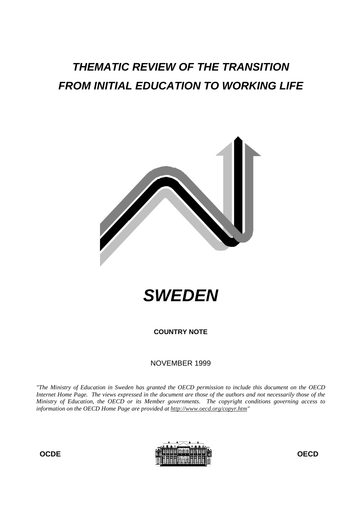# **THEMATIC REVIEW OF THE TRANSITION FROM INITIAL EDUCATION TO WORKING LIFE**





**COUNTRY NOTE**

# NOVEMBER 1999

*"The Ministry of Education in Sweden has granted the OECD permission to include this document on the OECD Internet Home Page. The views expressed in the document are those of the authors and not necessarily those of the Ministry of Education, the OECD or its Member governments. The copyright conditions governing access to information on the OECD Home Page are provided at http://www.oecd.org/copyr.htm"*



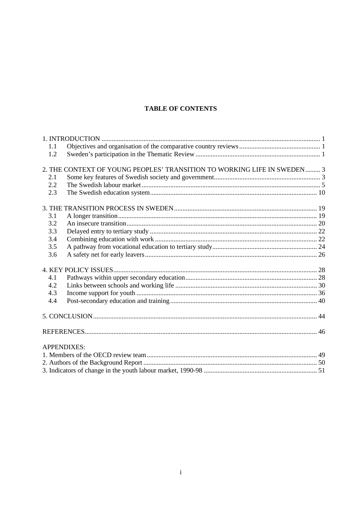# **TABLE OF CONTENTS**

| 1.1 |                                                                         |  |
|-----|-------------------------------------------------------------------------|--|
| 1.2 |                                                                         |  |
|     |                                                                         |  |
|     | 2. THE CONTEXT OF YOUNG PEOPLES' TRANSITION TO WORKING LIFE IN SWEDEN 3 |  |
| 2.1 |                                                                         |  |
| 2.2 |                                                                         |  |
| 2.3 |                                                                         |  |
|     |                                                                         |  |
| 3.1 |                                                                         |  |
| 3.2 |                                                                         |  |
| 3.3 |                                                                         |  |
| 3.4 |                                                                         |  |
| 3.5 |                                                                         |  |
| 3.6 |                                                                         |  |
|     |                                                                         |  |
| 4.1 |                                                                         |  |
| 4.2 |                                                                         |  |
| 4.3 |                                                                         |  |
| 4.4 |                                                                         |  |
|     |                                                                         |  |
|     |                                                                         |  |
|     | <b>APPENDIXES:</b>                                                      |  |
|     |                                                                         |  |
|     |                                                                         |  |
|     |                                                                         |  |
|     |                                                                         |  |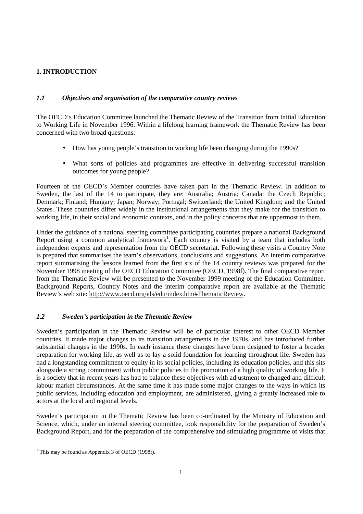# **1. INTRODUCTION**

## *1.1 Objectives and organisation of the comparative country reviews*

The OECD's Education Committee launched the Thematic Review of the Transition from Initial Education to Working Life in November 1996. Within a lifelong learning framework the Thematic Review has been concerned with two broad questions:

- How has young people's transition to working life been changing during the 1990s?
- What sorts of policies and programmes are effective in delivering successful transition outcomes for young people?

Fourteen of the OECD's Member countries have taken part in the Thematic Review. In addition to Sweden, the last of the 14 to participate, they are: Australia; Austria; Canada; the Czech Republic; Denmark; Finland; Hungary; Japan; Norway; Portugal; Switzerland; the United Kingdom; and the United States. These countries differ widely in the institutional arrangements that they make for the transition to working life, in their social and economic contexts, and in the policy concerns that are uppermost to them.

Under the guidance of a national steering committee participating countries prepare a national Background Report using a common analytical framework<sup>1</sup>. Each country is visited by a team that includes both independent experts and representation from the OECD secretariat. Following these visits a Country Note is prepared that summarises the team's observations, conclusions and suggestions. An interim comparative report summarising the lessons learned from the first six of the 14 country reviews was prepared for the November 1998 meeting of the OECD Education Committee (OECD, 1998f). The final comparative report from the Thematic Review will be presented to the November 1999 meeting of the Education Committee. Background Reports, Country Notes and the interim comparative report are available at the Thematic Review's web site: http://www.oecd.org/els/edu/index.htm#ThematicReview.

# *1.2 Sweden's participation in the Thematic Review*

Sweden's participation in the Thematic Review will be of particular interest to other OECD Member countries. It made major changes to its transition arrangements in the 1970s, and has introduced further substantial changes in the 1990s. In each instance these changes have been designed to foster a broader preparation for working life, as well as to lay a solid foundation for learning throughout life. Sweden has had a longstanding commitment to equity in its social policies, including its education policies, and this sits alongside a strong commitment within public policies to the promotion of a high quality of working life. It is a society that in recent years has had to balance these objectives with adjustment to changed and difficult labour market circumstances. At the same time it has made some major changes to the ways in which its public services, including education and employment, are administered, giving a greatly increased role to actors at the local and regional levels.

Sweden's participation in the Thematic Review has been co-ordinated by the Ministry of Education and Science, which, under an internal steering committee, took responsibility for the preparation of Sweden's Background Report, and for the preparation of the comprehensive and stimulating programme of visits that

<sup>|&</sup>lt;br>|<br>| <sup>1</sup> This may be found as Appendix 3 of OECD (1998f).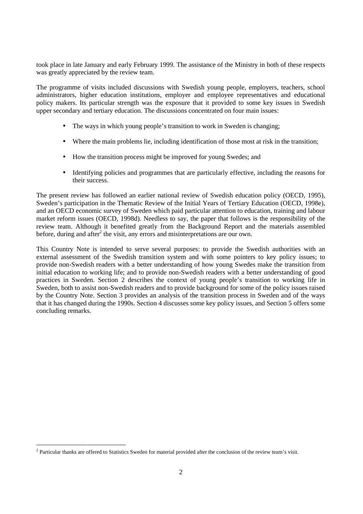took place in late January and early February 1999. The assistance of the Ministry in both of these respects was greatly appreciated by the review team.

The programme of visits included discussions with Swedish young people, employers, teachers, school administrators, higher education institutions, employer and employee representatives and educational policy makers. Its particular strength was the exposure that it provided to some key issues in Swedish upper secondary and tertiary education. The discussions concentrated on four main issues:

- The ways in which young people's transition to work in Sweden is changing;
- Where the main problems lie, including identification of those most at risk in the transition;
- How the transition process might be improved for young Swedes; and
- Identifying policies and programmes that are particularly effective, including the reasons for their success.

The present review has followed an earlier national review of Swedish education policy (OECD, 1995), Sweden's participation in the Thematic Review of the Initial Years of Tertiary Education (OECD, 1998e), and an OECD economic survey of Sweden which paid particular attention to education, training and labour market reform issues (OECD, 1998d). Needless to say, the paper that follows is the responsibility of the review team. Although it benefited greatly from the Background Report and the materials assembled before, during and after<sup>2</sup> the visit, any errors and misinterpretations are our own.

This Country Note is intended to serve several purposes: to provide the Swedish authorities with an external assessment of the Swedish transition system and with some pointers to key policy issues; to provide non-Swedish readers with a better understanding of how young Swedes make the transition from initial education to working life; and to provide non-Swedish readers with a better understanding of good practices in Sweden. Section 2 describes the context of young people's transition to working life in Sweden, both to assist non-Swedish readers and to provide background for some of the policy issues raised by the Country Note. Section 3 provides an analysis of the transition process in Sweden and of the ways that it has changed during the 1990s. Section 4 discusses some key policy issues, and Section 5 offers some concluding remarks.

 $\frac{1}{2}$  $<sup>2</sup>$  Particular thanks are offered to Statistics Sweden for material provided after the conclusion of the review team's visit.</sup>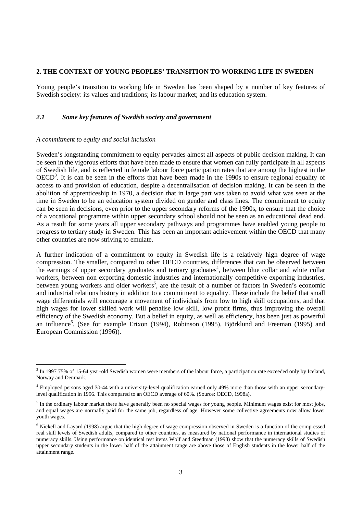## **2. THE CONTEXT OF YOUNG PEOPLES' TRANSITION TO WORKING LIFE IN SWEDEN**

Young people's transition to working life in Sweden has been shaped by a number of key features of Swedish society: its values and traditions; its labour market; and its education system.

## *2.1 Some key features of Swedish society and government*

#### *A commitment to equity and social inclusion*

Sweden's longstanding commitment to equity pervades almost all aspects of public decision making. It can be seen in the vigorous efforts that have been made to ensure that women can fully participate in all aspects of Swedish life, and is reflected in female labour force participation rates that are among the highest in the  $OECD<sup>3</sup>$ . It is can be seen in the efforts that have been made in the 1990s to ensure regional equality of access to and provision of education, despite a decentralisation of decision making. It can be seen in the abolition of apprenticeship in 1970, a decision that in large part was taken to avoid what was seen at the time in Sweden to be an education system divided on gender and class lines. The commitment to equity can be seen in decisions, even prior to the upper secondary reforms of the 1990s, to ensure that the choice of a vocational programme within upper secondary school should not be seen as an educational dead end. As a result for some years all upper secondary pathways and programmes have enabled young people to progress to tertiary study in Sweden. This has been an important achievement within the OECD that many other countries are now striving to emulate.

A further indication of a commitment to equity in Swedish life is a relatively high degree of wage compression. The smaller, compared to other OECD countries, differences that can be observed between the earnings of upper secondary graduates and tertiary graduates<sup>4</sup>, between blue collar and white collar workers, between non exporting domestic industries and internationally competitive exporting industries, between young workers and older workers<sup>5</sup>, are the result of a number of factors in Sweden's economic and industrial relations history in addition to a commitment to equality. These include the belief that small wage differentials will encourage a movement of individuals from low to high skill occupations, and that high wages for lower skilled work will penalise low skill, low profit firms, thus improving the overall efficiency of the Swedish economy. But a belief in equity, as well as efficiency, has been just as powerful an influence<sup>6</sup>. (See for example Erixon (1994), Robinson (1995), Björklund and Freeman (1995) and European Commission (1996)).

<sup>-&</sup>lt;br>3 <sup>3</sup> In 1997 75% of 15-64 year-old Swedish women were members of the labour force, a participation rate exceeded only by Iceland, Norway and Denmark.

<sup>4</sup> Employed persons aged 30-44 with a university-level qualification earned only 49% more than those with an upper secondarylevel qualification in 1996. This compared to an OECD average of 60%. (Source: OECD, 1998a).

 $<sup>5</sup>$  In the ordinary labour market there have generally been no special wages for young people. Minimum wages exist for most jobs,</sup> and equal wages are normally paid for the same job, regardless of age. However some collective agreements now allow lower youth wages.

<sup>&</sup>lt;sup>6</sup> Nickell and Layard (1998) argue that the high degree of wage compression observed in Sweden is a function of the compressed real skill levels of Swedish adults, compared to other countries, as measured by national performance in international studies of numeracy skills. Using performance on identical test items Wolf and Steedman (1998) show that the numeracy skills of Swedish upper secondary students in the lower half of the attainment range are above those of English students in the lower half of the attainment range.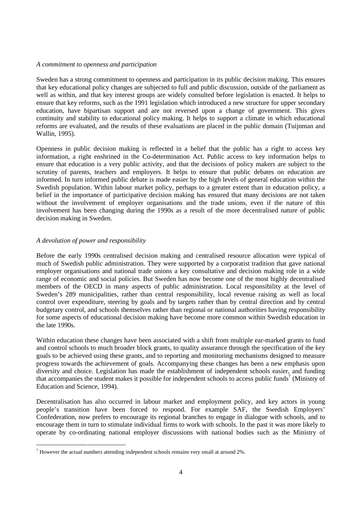#### *A commitment to openness and participation*

Sweden has a strong commitment to openness and participation in its public decision making. This ensures that key educational policy changes are subjected to full and public discussion, outside of the parliament as well as within, and that key interest groups are widely consulted before legislation is enacted. It helps to ensure that key reforms, such as the 1991 legislation which introduced a new structure for upper secondary education, have bipartisan support and are not reversed upon a change of government. This gives continuity and stability to educational policy making. It helps to support a climate in which educational reforms are evaluated, and the results of these evaluations are placed in the public domain (Tuijnman and Wallin, 1995).

Openness in public decision making is reflected in a belief that the public has a right to access key information, a right enshrined in the Co-determination Act. Public access to key information helps to ensure that education is a very public activity, and that the decisions of policy makers are subject to the scrutiny of parents, teachers and employers. It helps to ensure that public debates on education are informed. In turn informed public debate is made easier by the high levels of general education within the Swedish population. Within labour market policy, perhaps to a greater extent than in education policy, a belief in the importance of participative decision making has ensured that many decisions are not taken without the involvement of employer organisations and the trade unions, even if the nature of this involvement has been changing during the 1990s as a result of the more decentralised nature of public decision making in Sweden.

#### *A devolution of power and responsibility*

Before the early 1990s centralised decision making and centralised resource allocation were typical of much of Swedish public administration. They were supported by a corporatist tradition that gave national employer organisations and national trade unions a key consultative and decision making role in a wide range of economic and social policies. But Sweden has now become one of the most highly decentralised members of the OECD in many aspects of public administration. Local responsibility at the level of Sweden's 289 municipalities, rather than central responsibility, local revenue raising as well as local control over expenditure, steering by goals and by targets rather than by central direction and by central budgetary control, and schools themselves rather than regional or national authorities having responsibility for some aspects of educational decision making have become more common within Swedish education in the late 1990s.

Within education these changes have been associated with a shift from multiple ear-marked grants to fund and control schools to much broader block grants, to quality assurance through the specification of the key goals to be achieved using these grants, and to reporting and monitoring mechanisms designed to measure progress towards the achievement of goals. Accompanying these changes has been a new emphasis upon diversity and choice. Legislation has made the establishment of independent schools easier, and funding that accompanies the student makes it possible for independent schools to access public funds<sup>7</sup> (Ministry of Education and Science, 1994).

Decentralisation has also occurred in labour market and employment policy, and key actors in young people's transition have been forced to respond. For example SAF, the Swedish Employers' Confederation, now prefers to encourage its regional branches to engage in dialogue with schools, and to encourage them in turn to stimulate individual firms to work with schools. In the past it was more likely to operate by co-ordinating national employer discussions with national bodies such as the Ministry of

<sup>-&</sup>lt;br>7  $\frac{1}{1}$  However the actual numbers attending independent schools remains very small at around 2%.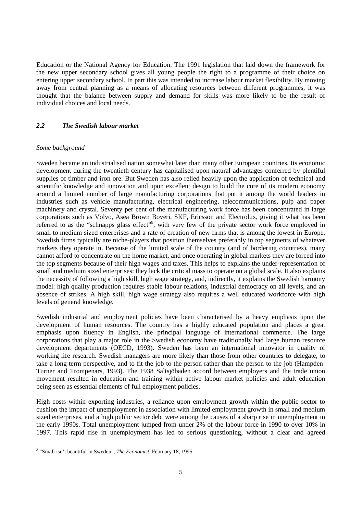Education or the National Agency for Education. The 1991 legislation that laid down the framework for the new upper secondary school gives all young people the right to a programme of their choice on entering upper secondary school. In part this was intended to increase labour market flexibility. By moving away from central planning as a means of allocating resources between different programmes, it was thought that the balance between supply and demand for skills was more likely to be the result of individual choices and local needs.

## *2.2 The Swedish labour market*

#### *Some background*

Sweden became an industrialised nation somewhat later than many other European countries. Its economic development during the twentieth century has capitalised upon natural advantages conferred by plentiful supplies of timber and iron ore. But Sweden has also relied heavily upon the application of technical and scientific knowledge and innovation and upon excellent design to build the core of its modern economy around a limited number of large manufacturing corporations that put it among the world leaders in industries such as vehicle manufacturing, electrical engineering, telecommunications, pulp and paper machinery and crystal. Seventy per cent of the manufacturing work force has been concentrated in large corporations such as Volvo, Asea Brown Boveri, SKF, Ericsson and Electrolux, giving it what has been referred to as the "schnapps glass effect"<sup>8</sup>, with very few of the private sector work force employed in small to medium sized enterprises and a rate of creation of new firms that is among the lowest in Europe. Swedish firms typically are niche-players that position themselves preferably in top segments of whatever markets they operate in. Because of the limited scale of the country (and of bordering countries), many cannot afford to concentrate on the home market, and once operating in global markets they are forced into the top segments because of their high wages and taxes. This helps to explains the under-representation of small and medium sized enterprises: they lack the critical mass to operate on a global scale. It also explains the necessity of following a high skill, high wage strategy, and, indirectly, it explains the Swedish harmony model: high quality production requires stable labour relations, industrial democracy on all levels, and an absence of strikes. A high skill, high wage strategy also requires a well educated workforce with high levels of general knowledge.

Swedish industrial and employment policies have been characterised by a heavy emphasis upon the development of human resources. The country has a highly educated population and places a great emphasis upon fluency in English, the principal language of international commerce. The large corporations that play a major role in the Swedish economy have traditionally had large human resource development departments (OECD, 1993). Sweden has been an international innovator in quality of working life research. Swedish managers are more likely than those from other countries to delegate, to take a long term perspective, and to fit the job to the person rather than the person to the job (Hampden-Turner and Trompenars, 1993). The 1938 Saltsjöbaden accord between employers and the trade union movement resulted in education and training within active labour market policies and adult education being seen as essential elements of full employment policies.

High costs within exporting industries, a reliance upon employment growth within the public sector to cushion the impact of unemployment in association with limited employment growth in small and medium sized enterprises, and a high public sector debt were among the causes of a sharp rise in unemployment in the early 1990s. Total unemployment jumped from under 2% of the labour force in 1990 to over 10% in 1997. This rapid rise in unemployment has led to serious questioning, without a clear and agreed

 <sup>8</sup> "Small isn't beautiful in Sweden", *The Economist*, February 18, 1995.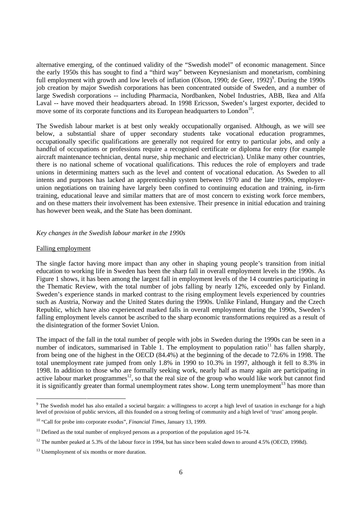alternative emerging, of the continued validity of the "Swedish model" of economic management. Since the early 1950s this has sought to find a "third way" between Keynesianism and monetarism, combining full employment with growth and low levels of inflation (Olson, 1990; de Geer, 1992)<sup>9</sup>. During the 1990s job creation by major Swedish corporations has been concentrated outside of Sweden, and a number of large Swedish corporations -- including Pharmacia, Nordbanken, Nobel Industries, ABB, Ikea and Alfa Laval -- have moved their headquarters abroad. In 1998 Ericsson, Sweden's largest exporter, decided to move some of its corporate functions and its European headquarters to London<sup>10</sup>.

The Swedish labour market is at best only weakly occupationally organised. Although, as we will see below, a substantial share of upper secondary students take vocational education programmes, occupationally specific qualifications are generally not required for entry to particular jobs, and only a handful of occupations or professions require a recognised certificate or diploma for entry (for example aircraft maintenance technician, dental nurse, ship mechanic and electrician). Unlike many other countries, there is no national scheme of vocational qualifications. This reduces the role of employers and trade unions in determining matters such as the level and content of vocational education. As Sweden to all intents and purposes has lacked an apprenticeship system between 1970 and the late 1990s, employerunion negotiations on training have largely been confined to continuing education and training, in-firm training, educational leave and similar matters that are of most concern to existing work force members, and on these matters their involvement has been extensive. Their presence in initial education and training has however been weak, and the State has been dominant.

## *Key changes in the Swedish labour market in the 1990s*

#### Falling employment

The single factor having more impact than any other in shaping young people's transition from initial education to working life in Sweden has been the sharp fall in overall employment levels in the 1990s. As Figure 1 shows, it has been among the largest fall in employment levels of the 14 countries participating in the Thematic Review, with the total number of jobs falling by nearly 12%, exceeded only by Finland. Sweden's experience stands in marked contrast to the rising employment levels experienced by countries such as Austria, Norway and the United States during the 1990s. Unlike Finland, Hungary and the Czech Republic, which have also experienced marked falls in overall employment during the 1990s, Sweden's falling employment levels cannot be ascribed to the sharp economic transformations required as a result of the disintegration of the former Soviet Union.

The impact of the fall in the total number of people with jobs in Sweden during the 1990s can be seen in a number of indicators, summarised in Table 1. The employment to population ratio<sup>11</sup> has fallen sharply, from being one of the highest in the OECD (84.4%) at the beginning of the decade to 72.6% in 1998. The total unemployment rate jumped from only 1.8% in 1990 to 10.3% in 1997, although it fell to 8.3% in 1998. In addition to those who are formally seeking work, nearly half as many again are participating in active labour market programmes<sup>12</sup>, so that the real size of the group who would like work but cannot find it is significantly greater than formal unemployment rates show. Long term unemployment<sup>13</sup> has more than

<sup>-&</sup>lt;br>9 <sup>9</sup> The Swedish model has also entailed a societal bargain: a willingness to accept a high level of taxation in exchange for a high level of provision of public services, all this founded on a strong feeling of community and a high level of 'trust' among people.

<sup>10</sup> "Call for probe into corporate exodus", *Financial Times*, January 13, 1999.

 $11$  Defined as the total number of employed persons as a proportion of the population aged 16-74.

 $12$  The number peaked at 5.3% of the labour force in 1994, but has since been scaled down to around 4.5% (OECD, 1998d).

<sup>&</sup>lt;sup>13</sup> Unemployment of six months or more duration.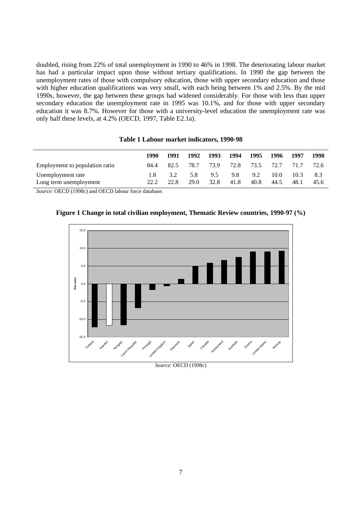doubled, rising from 22% of total unemployment in 1990 to 46% in 1998. The deteriorating labour market has had a particular impact upon those without tertiary qualifications. In 1990 the gap between the unemployment rates of those with compulsory education, those with upper secondary education and those with higher education qualifications was very small, with each being between 1% and 2.5%. By the mid 1990s, however, the gap between these groups had widened considerably. For those with less than upper secondary education the unemployment rate in 1995 was 10.1%, and for those with upper secondary education it was 8.7%. However for those with a university-level education the unemployment rate was only half these levels, at 4.2% (OECD, 1997, Table E2.1a).

| Table 1 Labour market indicators, 1990-98 |  |  |  |
|-------------------------------------------|--|--|--|
|-------------------------------------------|--|--|--|

|                                             | 1990 | 1991        | 1992        | 1993        | 1994        | 1995        | 1996         | 1997         | 1998        |
|---------------------------------------------|------|-------------|-------------|-------------|-------------|-------------|--------------|--------------|-------------|
| Employment to population ratio              | 84.4 | 82.5        | 78.7        | 73.9        | 72.8        | 73.5        | 72.7         | 71.7         | 72.6        |
| Unemployment rate<br>Long term unemployment | 22.2 | 3.2<br>22.8 | 5.8<br>29.0 | 9.5<br>32.8 | 9.8<br>41.8 | 9.2<br>40.8 | 10.0<br>44.5 | 10.3<br>48.1 | 8.3<br>45.6 |

*Source*: OECD (1998c) and OECD labour force database.





*Source*: OECD (1998c)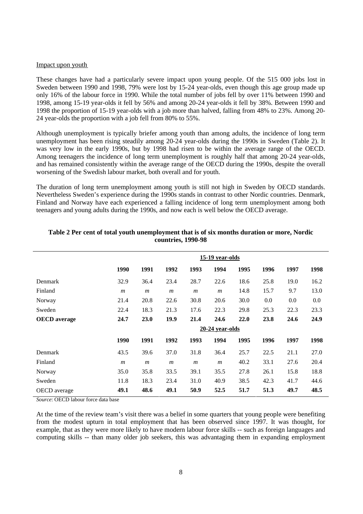#### Impact upon youth

These changes have had a particularly severe impact upon young people. Of the 515 000 jobs lost in Sweden between 1990 and 1998, 79% were lost by 15-24 year-olds, even though this age group made up only 16% of the labour force in 1990. While the total number of jobs fell by over 11% between 1990 and 1998, among 15-19 year-olds it fell by 56% and among 20-24 year-olds it fell by 38%. Between 1990 and 1998 the proportion of 15-19 year-olds with a job more than halved, falling from 48% to 23%. Among 20- 24 year-olds the proportion with a job fell from 80% to 55%.

Although unemployment is typically briefer among youth than among adults, the incidence of long term unemployment has been rising steadily among 20-24 year-olds during the 1990s in Sweden (Table 2). It was very low in the early 1990s, but by 1998 had risen to be within the average range of the OECD. Among teenagers the incidence of long term unemployment is roughly half that among 20-24 year-olds, and has remained consistently within the average range of the OECD during the 1990s, despite the overall worsening of the Swedish labour market, both overall and for youth.

The duration of long term unemployment among youth is still not high in Sweden by OECD standards. Nevertheless Sweden's experience during the 1990s stands in contrast to other Nordic countries. Denmark, Finland and Norway have each experienced a falling incidence of long term unemployment among both teenagers and young adults during the 1990s, and now each is well below the OECD average.

|                     |                  | 15-19 year-olds  |                  |                  |                   |      |      |      |      |
|---------------------|------------------|------------------|------------------|------------------|-------------------|------|------|------|------|
|                     | 1990             | 1991             | 1992             | 1993             | 1994              | 1995 | 1996 | 1997 | 1998 |
| Denmark             | 32.9             | 36.4             | 23.4             | 28.7             | 22.6              | 18.6 | 25.8 | 19.0 | 16.2 |
| Finland             | $\boldsymbol{m}$ | $\boldsymbol{m}$ | $\boldsymbol{m}$ | $\boldsymbol{m}$ | $\boldsymbol{m}$  | 14.8 | 15.7 | 9.7  | 13.0 |
| Norway              | 21.4             | 20.8             | 22.6             | 30.8             | 20.6              | 30.0 | 0.0  | 0.0  | 0.0  |
| Sweden              | 22.4             | 18.3             | 21.3             | 17.6             | 22.3              | 29.8 | 25.3 | 22.3 | 23.3 |
| <b>OECD</b> average | 24.7             | 23.0             | 19.9             | 21.4             | 24.6              | 22.0 | 23.8 | 24.6 | 24.9 |
|                     |                  |                  |                  |                  | $20-24$ year-olds |      |      |      |      |
|                     | 1990             | 1991             | 1992             | 1993             | 1994              | 1995 | 1996 | 1997 | 1998 |
| Denmark             | 43.5             | 39.6             | 37.0             | 31.8             | 36.4              | 25.7 | 22.5 | 21.1 | 27.0 |
| Finland             | $\mathfrak{m}$   | $\boldsymbol{m}$ | $\boldsymbol{m}$ | $\boldsymbol{m}$ | $\boldsymbol{m}$  | 40.2 | 33.1 | 27.6 | 20.4 |
| Norway              | 35.0             | 35.8             | 33.5             | 39.1             | 35.5              | 27.8 | 26.1 | 15.8 | 18.8 |
| Sweden              | 11.8             | 18.3             | 23.4             | 31.0             | 40.9              | 38.5 | 42.3 | 41.7 | 44.6 |
| <b>OECD</b> average | 49.1             | 48.6             | 49.1             | 50.9             | 52.5              | 51.7 | 51.3 | 49.7 | 48.5 |

## **Table 2 Per cent of total youth unemployment that is of six months duration or more, Nordic countries, 1990-98**

*Source*: OECD labour force data base

At the time of the review team's visit there was a belief in some quarters that young people were benefiting from the modest upturn in total employment that has been observed since 1997. It was thought, for example, that as they were more likely to have modern labour force skills -- such as foreign languages and computing skills -- than many older job seekers, this was advantaging them in expanding employment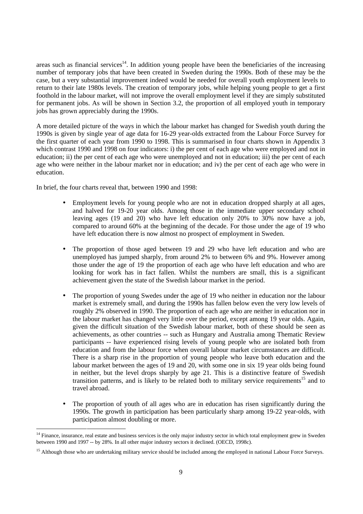areas such as financial services<sup>14</sup>. In addition young people have been the beneficiaries of the increasing number of temporary jobs that have been created in Sweden during the 1990s. Both of these may be the case, but a very substantial improvement indeed would be needed for overall youth employment levels to return to their late 1980s levels. The creation of temporary jobs, while helping young people to get a first foothold in the labour market, will not improve the overall employment level if they are simply substituted for permanent jobs. As will be shown in Section 3.2, the proportion of all employed youth in temporary jobs has grown appreciably during the 1990s.

A more detailed picture of the ways in which the labour market has changed for Swedish youth during the 1990s is given by single year of age data for 16-29 year-olds extracted from the Labour Force Survey for the first quarter of each year from 1990 to 1998. This is summarised in four charts shown in Appendix 3 which contrast 1990 and 1998 on four indicators: i) the per cent of each age who were employed and not in education; ii) the per cent of each age who were unemployed and not in education; iii) the per cent of each age who were neither in the labour market nor in education; and iv) the per cent of each age who were in education.

In brief, the four charts reveal that, between 1990 and 1998:

- Employment levels for young people who are not in education dropped sharply at all ages, and halved for 19-20 year olds. Among those in the immediate upper secondary school leaving ages (19 and 20) who have left education only 20% to 30% now have a job, compared to around 60% at the beginning of the decade. For those under the age of 19 who have left education there is now almost no prospect of employment in Sweden.
- The proportion of those aged between 19 and 29 who have left education and who are unemployed has jumped sharply, from around 2% to between 6% and 9%. However among those under the age of 19 the proportion of each age who have left education and who are looking for work has in fact fallen. Whilst the numbers are small, this is a significant achievement given the state of the Swedish labour market in the period.
- The proportion of young Swedes under the age of 19 who neither in education nor the labour market is extremely small, and during the 1990s has fallen below even the very low levels of roughly 2% observed in 1990. The proportion of each age who are neither in education nor in the labour market has changed very little over the period, except among 19 year olds. Again, given the difficult situation of the Swedish labour market, both of these should be seen as achievements, as other countries -- such as Hungary and Australia among Thematic Review participants -- have experienced rising levels of young people who are isolated both from education and from the labour force when overall labour market circumstances are difficult. There is a sharp rise in the proportion of young people who leave both education and the labour market between the ages of 19 and 20, with some one in six 19 year olds being found in neither, but the level drops sharply by age 21. This is a distinctive feature of Swedish transition patterns, and is likely to be related both to military service requirements<sup>15</sup> and to travel abroad.
- The proportion of youth of all ages who are in education has risen significantly during the 1990s. The growth in participation has been particularly sharp among 19-22 year-olds, with participation almost doubling or more.

<sup>&</sup>lt;sup>14</sup> Finance, insurance, real estate and business services is the only major industry sector in which total employment grew in Sweden between 1990 and 1997 -- by 28%. In all other major industry sectors it declined. (OECD, 1998c).

<sup>&</sup>lt;sup>15</sup> Although those who are undertaking military service should be included among the employed in national Labour Force Surveys.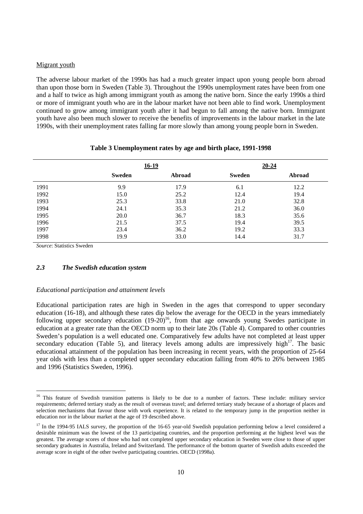#### Migrant youth

The adverse labour market of the 1990s has had a much greater impact upon young people born abroad than upon those born in Sweden (Table 3). Throughout the 1990s unemployment rates have been from one and a half to twice as high among immigrant youth as among the native born. Since the early 1990s a third or more of immigrant youth who are in the labour market have not been able to find work. Unemployment continued to grow among immigrant youth after it had begun to fall among the native born. Immigrant youth have also been much slower to receive the benefits of improvements in the labour market in the late 1990s, with their unemployment rates falling far more slowly than among young people born in Sweden.

|      |        | $16-19$ | $20 - 24$     |        |
|------|--------|---------|---------------|--------|
|      | Sweden | Abroad  | <b>Sweden</b> | Abroad |
| 1991 | 9.9    | 17.9    | 6.1           | 12.2   |
| 1992 | 15.0   | 25.2    | 12.4          | 19.4   |
| 1993 | 25.3   | 33.8    | 21.0          | 32.8   |
| 1994 | 24.1   | 35.3    | 21.2          | 36.0   |
| 1995 | 20.0   | 36.7    | 18.3          | 35.6   |
| 1996 | 21.5   | 37.5    | 19.4          | 39.5   |
| 1997 | 23.4   | 36.2    | 19.2          | 33.3   |
| 1998 | 19.9   | 33.0    | 14.4          | 31.7   |

# **Table 3 Unemployment rates by age and birth place, 1991-1998**

*Source*: Statistics Sweden

## *2.3 The Swedish education system*

#### *Educational participation and attainment levels*

Educational participation rates are high in Sweden in the ages that correspond to upper secondary education (16-18), and although these rates dip below the average for the OECD in the years immediately following upper secondary education  $(19-20)^{16}$ , from that age onwards young Swedes participate in education at a greater rate than the OECD norm up to their late 20s (Table 4). Compared to other countries Sweden's population is a well educated one. Comparatively few adults have not completed at least upper secondary education (Table 5), and literacy levels among adults are impressively high $17$ . The basic educational attainment of the population has been increasing in recent years, with the proportion of 25-64 year olds with less than a completed upper secondary education falling from 40% to 26% between 1985 and 1996 (Statistics Sweden, 1996).

<sup>&</sup>lt;sup>16</sup> This feature of Swedish transition patterns is likely to be due to a number of factors. These include: military service requirements; deferred tertiary study as the result of overseas travel; and deferred tertiary study because of a shortage of places and selection mechanisms that favour those with work experience. It is related to the temporary jump in the proportion neither in education nor in the labour market at the age of 19 described above.

<sup>&</sup>lt;sup>17</sup> In the 1994-95 IALS survey, the proportion of the 16-65 year-old Swedish population performing below a level considered a desirable minimum was the lowest of the 13 participating countries, and the proportion performing at the highest level was the greatest. The average scores of those who had not completed upper secondary education in Sweden were close to those of upper secondary graduates in Australia, Ireland and Switzerland. The performance of the bottom quarter of Swedish adults exceeded the average score in eight of the other twelve participating countries. OECD (1998a).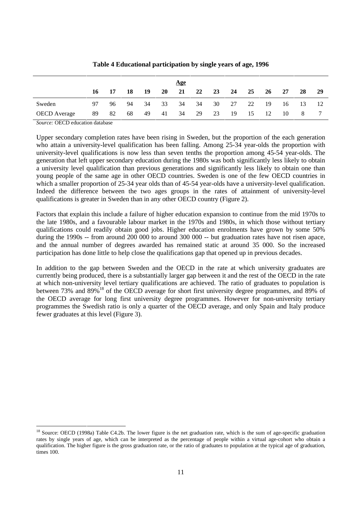|                     |    |    |       |      |           | <u>Age</u> |    |    |    |    |           |     |     |     |
|---------------------|----|----|-------|------|-----------|------------|----|----|----|----|-----------|-----|-----|-----|
|                     | 16 | 17 | - 18  | - 19 | <b>20</b> | 21         | 22 | 23 | 24 | 25 | <b>26</b> | 27  | 28  | 29  |
| Sweden              | 97 |    | 96 94 | 34   | 33        | 34         | 34 | 30 | 27 | 22 | - 19      | -16 | -13 | -12 |
| <b>OECD</b> Average | 89 | 82 | 68    | 49   | 41        | 34         | 29 | 23 | 19 | 15 | - 12      | 10  | 8   |     |

## **Table 4 Educational participation by single years of age, 1996**

*Source:* OECD education database

Upper secondary completion rates have been rising in Sweden, but the proportion of the each generation who attain a university-level qualification has been falling. Among 25-34 year-olds the proportion with university-level qualifications is now less than seven tenths the proportion among 45-54 year-olds. The generation that left upper secondary education during the 1980s was both significantly less likely to obtain a university level qualification than previous generations and significantly less likely to obtain one than young people of the same age in other OECD countries. Sweden is one of the few OECD countries in which a smaller proportion of 25-34 year olds than of 45-54 year-olds have a university-level qualification. Indeed the difference between the two ages groups in the rates of attainment of university-level qualifications is greater in Sweden than in any other OECD country (Figure 2).

Factors that explain this include a failure of higher education expansion to continue from the mid 1970s to the late 1980s, and a favourable labour market in the 1970s and 1980s, in which those without tertiary qualifications could readily obtain good jobs. Higher education enrolments have grown by some 50% during the 1990s -- from around 200 000 to around 300 000 -- but graduation rates have not risen apace, and the annual number of degrees awarded has remained static at around 35 000. So the increased participation has done little to help close the qualifications gap that opened up in previous decades.

In addition to the gap between Sweden and the OECD in the rate at which university graduates are currently being produced, there is a substantially larger gap between it and the rest of the OECD in the rate at which non-university level tertiary qualifications are achieved. The ratio of graduates to population is between 73% and 89%<sup>18</sup> of the OECD average for short first university degree programmes, and 89% of the OECD average for long first university degree programmes. However for non-university tertiary programmes the Swedish ratio is only a quarter of the OECD average, and only Spain and Italy produce fewer graduates at this level (Figure 3).

<sup>&</sup>lt;sup>18</sup> Source: OECD (1998a) Table C4.2b. The lower figure is the net graduation rate, which is the sum of age-specific graduation rates by single years of age, which can be interpreted as the percentage of people within a virtual age-cohort who obtain a qualification. The higher figure is the gross graduation rate, or the ratio of graduates to population at the typical age of graduation, times 100.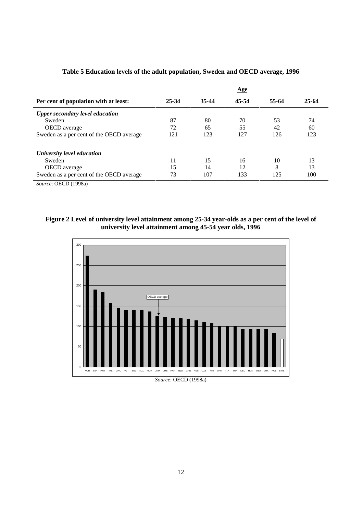|                                          |       |       | <b>Age</b> |       |           |
|------------------------------------------|-------|-------|------------|-------|-----------|
| Per cent of population with at least:    | 25-34 | 35-44 | 45-54      | 55-64 | $25 - 64$ |
| <b>Upper secondary level education</b>   |       |       |            |       |           |
| Sweden                                   | 87    | 80    | 70         | 53    | 74        |
| OECD average                             | 72    | 65    | 55         | 42    | 60        |
| Sweden as a per cent of the OECD average | 121   | 123   | 127        | 126   | 123       |
| University level education               |       |       |            |       |           |
| Sweden                                   | 11    | 15    | 16         | 10    | 13        |
| <b>OECD</b> average                      | 15    | 14    | 12         | 8     | 13        |
| Sweden as a per cent of the OECD average | 73    | 107   | 133        | 125   | 100       |

# **Table 5 Education levels of the adult population, Sweden and OECD average, 1996**

*Source*: OECD (1998a)

# **Figure 2 Level of university level attainment among 25-34 year-olds as a per cent of the level of university level attainment among 45-54 year olds, 1996**



*Source*: OECD (1998a)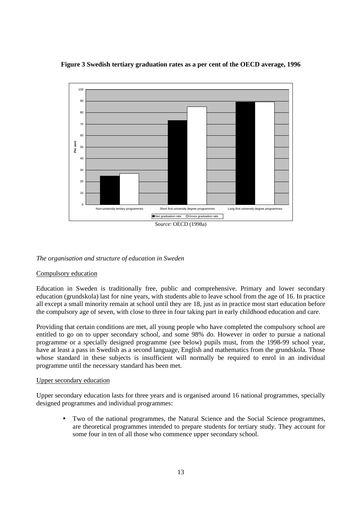## **Figure 3 Swedish tertiary graduation rates as a per cent of the OECD average, 1996**



#### *The organisation and structure of education in Sweden*

#### Compulsory education

Education in Sweden is traditionally free, public and comprehensive. Primary and lower secondary education (grundskola) last for nine years, with students able to leave school from the age of 16. In practice all except a small minority remain at school until they are 18, just as in practice most start education before the compulsory age of seven, with close to three in four taking part in early childhood education and care.

Providing that certain conditions are met, all young people who have completed the compulsory school are entitled to go on to upper secondary school, and some 98% do. However in order to pursue a national programme or a specially designed programme (see below) pupils must, from the 1998-99 school year, have at least a pass in Swedish as a second language, English and mathematics from the grundskola. Those whose standard in these subjects is insufficient will normally be required to enrol in an individual programme until the necessary standard has been met.

#### Upper secondary education

Upper secondary education lasts for three years and is organised around 16 national programmes, specially designed programmes and individual programmes:

• Two of the national programmes, the Natural Science and the Social Science programmes, are theoretical programmes intended to prepare students for tertiary study. They account for some four in ten of all those who commence upper secondary school.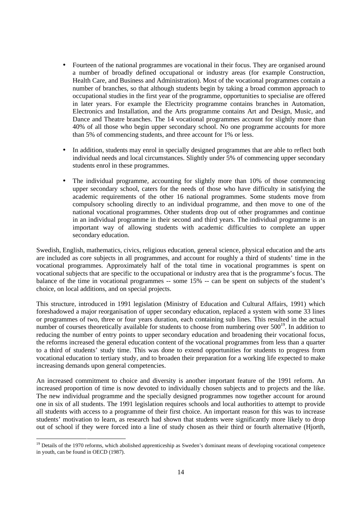- Fourteen of the national programmes are vocational in their focus. They are organised around a number of broadly defined occupational or industry areas (for example Construction, Health Care, and Business and Administration). Most of the vocational programmes contain a number of branches, so that although students begin by taking a broad common approach to occupational studies in the first year of the programme, opportunities to specialise are offered in later years. For example the Electricity programme contains branches in Automation, Electronics and Installation, and the Arts programme contains Art and Design, Music, and Dance and Theatre branches. The 14 vocational programmes account for slightly more than 40% of all those who begin upper secondary school. No one programme accounts for more than 5% of commencing students, and three account for 1% or less.
- In addition, students may enrol in specially designed programmes that are able to reflect both individual needs and local circumstances. Slightly under 5% of commencing upper secondary students enrol in these programmes.
- The individual programme, accounting for slightly more than 10% of those commencing upper secondary school, caters for the needs of those who have difficulty in satisfying the academic requirements of the other 16 national programmes. Some students move from compulsory schooling directly to an individual programme, and then move to one of the national vocational programmes. Other students drop out of other programmes and continue in an individual programme in their second and third years. The individual programme is an important way of allowing students with academic difficulties to complete an upper secondary education.

Swedish, English, mathematics, civics, religious education, general science, physical education and the arts are included as core subjects in all programmes, and account for roughly a third of students' time in the vocational programmes. Approximately half of the total time in vocational programmes is spent on vocational subjects that are specific to the occupational or industry area that is the programme's focus. The balance of the time in vocational programmes -- some 15% -- can be spent on subjects of the student's choice, on local additions, and on special projects.

This structure, introduced in 1991 legislation (Ministry of Education and Cultural Affairs, 1991) which foreshadowed a major reorganisation of upper secondary education, replaced a system with some 33 lines or programmes of two, three or four years duration, each containing sub lines. This resulted in the actual number of courses theoretically available for students to choose from numbering over  $500^{19}$ . In addition to reducing the number of entry points to upper secondary education and broadening their vocational focus, the reforms increased the general education content of the vocational programmes from less than a quarter to a third of students' study time. This was done to extend opportunities for students to progress from vocational education to tertiary study, and to broaden their preparation for a working life expected to make increasing demands upon general competencies.

An increased commitment to choice and diversity is another important feature of the 1991 reform. An increased proportion of time is now devoted to individually chosen subjects and to projects and the like. The new individual programme and the specially designed programmes now together account for around one in six of all students. The 1991 legislation requires schools and local authorities to attempt to provide all students with access to a programme of their first choice. An important reason for this was to increase students' motivation to learn, as research had shown that students were significantly more likely to drop out of school if they were forced into a line of study chosen as their third or fourth alternative (Hjorth,

<sup>&</sup>lt;sup>19</sup> Details of the 1970 reforms, which abolished apprenticeship as Sweden's dominant means of developing vocational competence in youth, can be found in OECD (1987).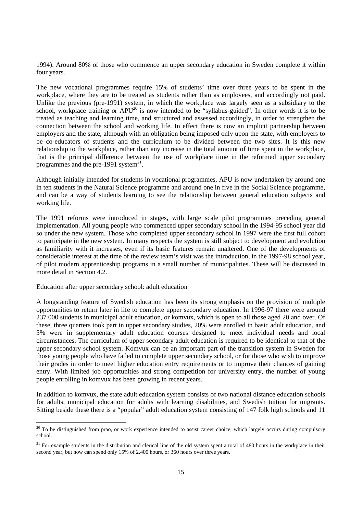1994). Around 80% of those who commence an upper secondary education in Sweden complete it within four years.

The new vocational programmes require 15% of students' time over three years to be spent in the workplace, where they are to be treated as students rather than as employees, and accordingly not paid. Unlike the previous (pre-1991) system, in which the workplace was largely seen as a subsidiary to the school, workplace training or  $APU^{20}$  is now intended to be "syllabus-guided". In other words it is to be treated as teaching and learning time, and structured and assessed accordingly, in order to strengthen the connection between the school and working life. In effect there is now an implicit partnership between employers and the state, although with an obligation being imposed only upon the state, with employers to be co-educators of students and the curriculum to be divided between the two sites. It is this new relationship to the workplace, rather than any increase in the total amount of time spent in the workplace, that is the principal difference between the use of workplace time in the reformed upper secondary programmes and the pre-1991 system $^{21}$ .

Although initially intended for students in vocational programmes, APU is now undertaken by around one in ten students in the Natural Science programme and around one in five in the Social Science programme, and can be a way of students learning to see the relationship between general education subjects and working life.

The 1991 reforms were introduced in stages, with large scale pilot programmes preceding general implementation. All young people who commenced upper secondary school in the 1994-95 school year did so under the new system. Those who completed upper secondary school in 1997 were the first full cohort to participate in the new system. In many respects the system is still subject to development and evolution as familiarity with it increases, even if its basic features remain unaltered. One of the developments of considerable interest at the time of the review team's visit was the introduction, in the 1997-98 school year, of pilot modern apprenticeship programs in a small number of municipalities. These will be discussed in more detail in Section 4.2.

#### Education after upper secondary school: adult education

A longstanding feature of Swedish education has been its strong emphasis on the provision of multiple opportunities to return later in life to complete upper secondary education. In 1996-97 there were around 237 000 students in municipal adult education, or komvux, which is open to all those aged 20 and over. Of these, three quarters took part in upper secondary studies, 20% were enrolled in basic adult education, and 5% were in supplementary adult education courses designed to meet individual needs and local circumstances. The curriculum of upper secondary adult education is required to be identical to that of the upper secondary school system. Komvux can be an important part of the transition system in Sweden for those young people who have failed to complete upper secondary school, or for those who wish to improve their grades in order to meet higher education entry requirements or to improve their chances of gaining entry. With limited job opportunities and strong competition for university entry, the number of young people enrolling in komvux has been growing in recent years.

In addition to komvux, the state adult education system consists of two national distance education schools for adults, municipal education for adults with learning disabilities, and Swedish tuition for migrants. Sitting beside these there is a "popular" adult education system consisting of 147 folk high schools and 11

<sup>&</sup>lt;sup>20</sup> To be distinguished from prao, or work experience intended to assist career choice, which largely occurs during compulsory school.

 $21$  For example students in the distribution and clerical line of the old system spent a total of 480 hours in the workplace in their second year, but now can spend only 15% of 2,400 hours, or 360 hours over three years.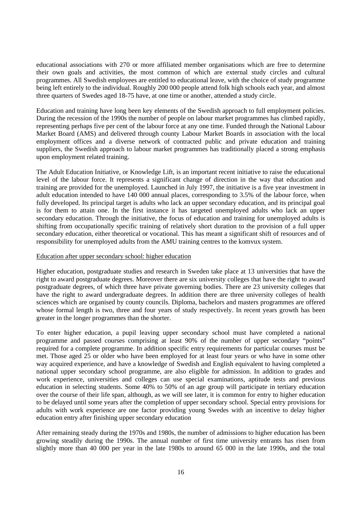educational associations with 270 or more affiliated member organisations which are free to determine their own goals and activities, the most common of which are external study circles and cultural programmes. All Swedish employees are entitled to educational leave, with the choice of study programme being left entirely to the individual. Roughly 200 000 people attend folk high schools each year, and almost three quarters of Swedes aged 18-75 have, at one time or another, attended a study circle.

Education and training have long been key elements of the Swedish approach to full employment policies. During the recession of the 1990s the number of people on labour market programmes has climbed rapidly, representing perhaps five per cent of the labour force at any one time. Funded through the National Labour Market Board (AMS) and delivered through county Labour Market Boards in association with the local employment offices and a diverse network of contracted public and private education and training suppliers, the Swedish approach to labour market programmes has traditionally placed a strong emphasis upon employment related training.

The Adult Education Initiative, or Knowledge Lift, is an important recent initiative to raise the educational level of the labour force. It represents a significant change of direction in the way that education and training are provided for the unemployed. Launched in July 1997, the initiative is a five year investment in adult education intended to have 140 000 annual places, corresponding to 3.5% of the labour force, when fully developed. Its principal target is adults who lack an upper secondary education, and its principal goal is for them to attain one. In the first instance it has targeted unemployed adults who lack an upper secondary education. Through the initiative, the focus of education and training for unemployed adults is shifting from occupationally specific training of relatively short duration to the provision of a full upper secondary education, either theoretical or vocational. This has meant a significant shift of resources and of responsibility for unemployed adults from the AMU training centres to the komvux system.

#### Education after upper secondary school: higher education

Higher education, postgraduate studies and research in Sweden take place at 13 universities that have the right to award postgraduate degrees. Moreover there are six university colleges that have the right to award postgraduate degrees, of which three have private governing bodies. There are 23 university colleges that have the right to award undergraduate degrees. In addition there are three university colleges of health sciences which are organised by county councils. Diploma, bachelors and masters programmes are offered whose formal length is two, three and four years of study respectively. In recent years growth has been greater in the longer programmes than the shorter.

To enter higher education, a pupil leaving upper secondary school must have completed a national programme and passed courses comprising at least 90% of the number of upper secondary "points" required for a complete programme. In addition specific entry requirements for particular courses must be met. Those aged 25 or older who have been employed for at least four years or who have in some other way acquired experience, and have a knowledge of Swedish and English equivalent to having completed a national upper secondary school programme, are also eligible for admission. In addition to grades and work experience, universities and colleges can use special examinations, aptitude tests and previous education in selecting students. Some 40% to 50% of an age group will participate in tertiary education over the course of their life span, although, as we will see later, it is common for entry to higher education to be delayed until some years after the completion of upper secondary school. Special entry provisions for adults with work experience are one factor providing young Swedes with an incentive to delay higher education entry after finishing upper secondary education

After remaining steady during the 1970s and 1980s, the number of admissions to higher education has been growing steadily during the 1990s. The annual number of first time university entrants has risen from slightly more than 40 000 per year in the late 1980s to around 65 000 in the late 1990s, and the total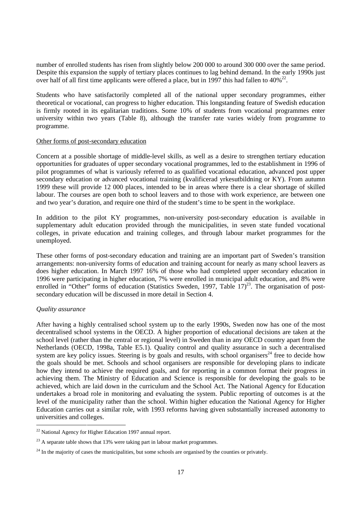number of enrolled students has risen from slightly below 200 000 to around 300 000 over the same period. Despite this expansion the supply of tertiary places continues to lag behind demand. In the early 1990s just over half of all first time applicants were offered a place, but in 1997 this had fallen to  $40\frac{22}{3}$ .

Students who have satisfactorily completed all of the national upper secondary programmes, either theoretical or vocational, can progress to higher education. This longstanding feature of Swedish education is firmly rooted in its egalitarian traditions. Some 10% of students from vocational programmes enter university within two years (Table 8), although the transfer rate varies widely from programme to programme.

## Other forms of post-secondary education

Concern at a possible shortage of middle-level skills, as well as a desire to strengthen tertiary education opportunities for graduates of upper secondary vocational programmes, led to the establishment in 1996 of pilot programmes of what is variously referred to as qualified vocational education, advanced post upper secondary education or advanced vocational training (kvalificerad yrkesutbildning or KY). From autumn 1999 these will provide 12 000 places, intended to be in areas where there is a clear shortage of skilled labour. The courses are open both to school leavers and to those with work experience, are between one and two year's duration, and require one third of the student's time to be spent in the workplace.

In addition to the pilot KY programmes, non-university post-secondary education is available in supplementary adult education provided through the municipalities, in seven state funded vocational colleges, in private education and training colleges, and through labour market programmes for the unemployed.

These other forms of post-secondary education and training are an important part of Sweden's transition arrangements: non-university forms of education and training account for nearly as many school leavers as does higher education. In March 1997 16% of those who had completed upper secondary education in 1996 were participating in higher education, 7% were enrolled in municipal adult education, and 8% were enrolled in "Other" forms of education (Statistics Sweden, 1997, Table 17)<sup>23</sup>. The organisation of postsecondary education will be discussed in more detail in Section 4.

## *Quality assurance*

After having a highly centralised school system up to the early 1990s, Sweden now has one of the most decentralised school systems in the OECD. A higher proportion of educational decisions are taken at the school level (rather than the central or regional level) in Sweden than in any OECD country apart from the Netherlands (OECD, 1998a, Table E5.1). Quality control and quality assurance in such a decentralised system are key policy issues. Steering is by goals and results, with school organisers<sup>24</sup> free to decide how the goals should be met. Schools and school organisers are responsible for developing plans to indicate how they intend to achieve the required goals, and for reporting in a common format their progress in achieving them. The Ministry of Education and Science is responsible for developing the goals to be achieved, which are laid down in the curriculum and the School Act. The National Agency for Education undertakes a broad role in monitoring and evaluating the system. Public reporting of outcomes is at the level of the municipality rather than the school. Within higher education the National Agency for Higher Education carries out a similar role, with 1993 reforms having given substantially increased autonomy to universities and colleges.

 $22$  National Agency for Higher Education 1997 annual report.

 $23$  A separate table shows that 13% were taking part in labour market programmes.

 $^{24}$  In the majority of cases the municipalities, but some schools are organised by the counties or privately.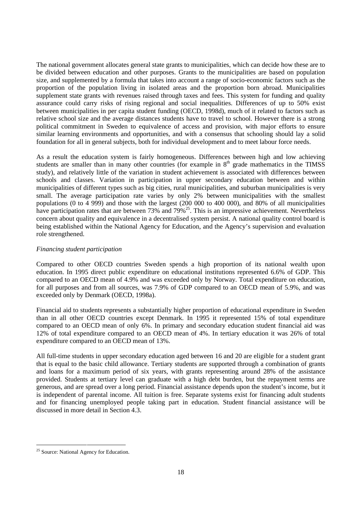The national government allocates general state grants to municipalities, which can decide how these are to be divided between education and other purposes. Grants to the municipalities are based on population size, and supplemented by a formula that takes into account a range of socio-economic factors such as the proportion of the population living in isolated areas and the proportion born abroad. Municipalities supplement state grants with revenues raised through taxes and fees. This system for funding and quality assurance could carry risks of rising regional and social inequalities. Differences of up to 50% exist between municipalities in per capita student funding (OECD, 1998d), much of it related to factors such as relative school size and the average distances students have to travel to school. However there is a strong political commitment in Sweden to equivalence of access and provision, with major efforts to ensure similar learning environments and opportunities, and with a consensus that schooling should lay a solid foundation for all in general subjects, both for individual development and to meet labour force needs.

As a result the education system is fairly homogeneous. Differences between high and low achieving students are smaller than in many other countries (for example in 8<sup>th</sup> grade mathematics in the TIMSS study), and relatively little of the variation in student achievement is associated with differences between schools and classes. Variation in participation in upper secondary education between and within municipalities of different types such as big cities, rural municipalities, and suburban municipalities is very small. The average participation rate varies by only 2% between municipalities with the smallest populations (0 to 4 999) and those with the largest (200 000 to 400 000), and 80% of all municipalities have participation rates that are between 73% and 79%<sup>25</sup>. This is an impressive achievement. Nevertheless concern about quality and equivalence in a decentralised system persist. A national quality control board is being established within the National Agency for Education, and the Agency's supervision and evaluation role strengthened.

#### *Financing student participation*

Compared to other OECD countries Sweden spends a high proportion of its national wealth upon education. In 1995 direct public expenditure on educational institutions represented 6.6% of GDP. This compared to an OECD mean of 4.9% and was exceeded only by Norway. Total expenditure on education, for all purposes and from all sources, was 7.9% of GDP compared to an OECD mean of 5.9%, and was exceeded only by Denmark (OECD, 1998a).

Financial aid to students represents a substantially higher proportion of educational expenditure in Sweden than in all other OECD countries except Denmark. In 1995 it represented 15% of total expenditure compared to an OECD mean of only 6%. In primary and secondary education student financial aid was 12% of total expenditure compared to an OECD mean of 4%. In tertiary education it was 26% of total expenditure compared to an OECD mean of 13%.

All full-time students in upper secondary education aged between 16 and 20 are eligible for a student grant that is equal to the basic child allowance. Tertiary students are supported through a combination of grants and loans for a maximum period of six years, with grants representing around 28% of the assistance provided. Students at tertiary level can graduate with a high debt burden, but the repayment terms are generous, and are spread over a long period. Financial assistance depends upon the student's income, but it is independent of parental income. All tuition is free. Separate systems exist for financing adult students and for financing unemployed people taking part in education. Student financial assistance will be discussed in more detail in Section 4.3.

<sup>&</sup>lt;sup>25</sup> Source: National Agency for Education.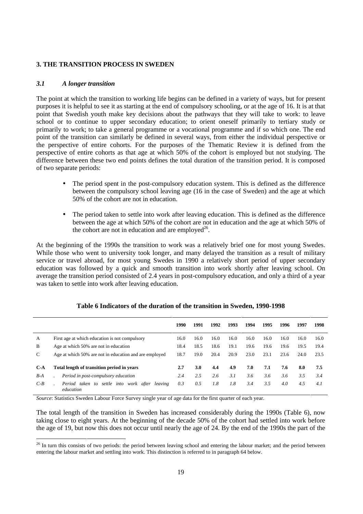## **3. THE TRANSITION PROCESS IN SWEDEN**

## *3.1 A longer transition*

The point at which the transition to working life begins can be defined in a variety of ways, but for present purposes it is helpful to see it as starting at the end of compulsory schooling, or at the age of 16. It is at that point that Swedish youth make key decisions about the pathways that they will take to work: to leave school or to continue to upper secondary education; to orient oneself primarily to tertiary study or primarily to work; to take a general programme or a vocational programme and if so which one. The end point of the transition can similarly be defined in several ways, from either the individual perspective or the perspective of entire cohorts. For the purposes of the Thematic Review it is defined from the perspective of entire cohorts as that age at which 50% of the cohort is employed but not studying. The difference between these two end points defines the total duration of the transition period. It is composed of two separate periods:

- The period spent in the post-compulsory education system. This is defined as the difference between the compulsory school leaving age (16 in the case of Sweden) and the age at which 50% of the cohort are not in education.
- The period taken to settle into work after leaving education. This is defined as the difference between the age at which 50% of the cohort are not in education and the age at which 50% of the cohort are not in education and are employed<sup>26</sup>.

At the beginning of the 1990s the transition to work was a relatively brief one for most young Swedes. While those who went to university took longer, and many delayed the transition as a result of military service or travel abroad, for most young Swedes in 1990 a relatively short period of upper secondary education was followed by a quick and smooth transition into work shortly after leaving school. On average the transition period consisted of 2.4 years in post-compulsory education, and only a third of a year was taken to settle into work after leaving education.

|       |                                                                   | 1990 | 1991 | 1992 | 1993 | 1994 | 1995 | 1996 | 1997 | 1998 |
|-------|-------------------------------------------------------------------|------|------|------|------|------|------|------|------|------|
| A     | First age at which education is not compulsory                    | 16.0 | 16.0 | 16.0 | 16.0 | 16.0 | 16.0 | 16.0 | 16.0 | 16.0 |
| B     | Age at which 50% are not in education                             | 18.4 | 18.5 | 18.6 | 19.1 | 19.6 | 19.6 | 19.6 | 19.5 | 19.4 |
| C     | Age at which 50% are not in education and are employed            | 18.7 | 19.0 | 20.4 | 20.9 | 23.0 | 23.1 | 23.6 | 24.0 | 23.5 |
| $C-A$ | Total length of transition period in years                        | 2.7  | 3.0  | 4.4  | 4.9  | 7.0  | 7.1  | 7.6  | 8.0  | 7.5  |
| B-A   | Period in post-compulsory education                               | 2.4  | 2.5  | 2.6  | 3.1  | 3.6  | 3.6  | 3.6  | 3.5  | 3.4  |
| $C-B$ | settle into work after<br>Period taken to<br>leaving<br>education | 0.3  | 0.5  | 1.8  | 1.8  | 3.4  | 3.5  | 4.0  | 4.5  | 4.1  |

#### **Table 6 Indicators of the duration of the transition in Sweden, 1990-1998**

*Source*: Statistics Sweden Labour Force Survey single year of age data for the first quarter of each year.

The total length of the transition in Sweden has increased considerably during the 1990s (Table 6), now taking close to eight years. At the beginning of the decade 50% of the cohort had settled into work before the age of 19, but now this does not occur until nearly the age of 24. By the end of the 1990s the part of the

<sup>&</sup>lt;sup>26</sup> In turn this consists of two periods: the period between leaving school and entering the labour market; and the period between entering the labour market and settling into work. This distinction is referred to in paragraph 64 below.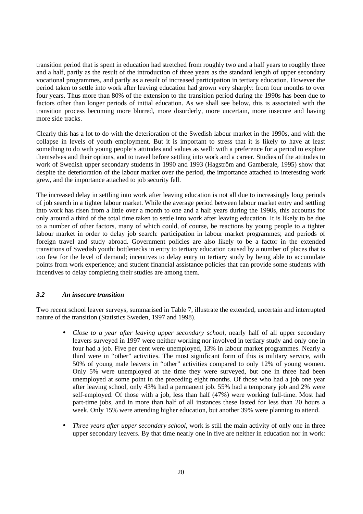transition period that is spent in education had stretched from roughly two and a half years to roughly three and a half, partly as the result of the introduction of three years as the standard length of upper secondary vocational programmes, and partly as a result of increased participation in tertiary education. However the period taken to settle into work after leaving education had grown very sharply: from four months to over four years. Thus more than 80% of the extension to the transition period during the 1990s has been due to factors other than longer periods of initial education. As we shall see below, this is associated with the transition process becoming more blurred, more disorderly, more uncertain, more insecure and having more side tracks.

Clearly this has a lot to do with the deterioration of the Swedish labour market in the 1990s, and with the collapse in levels of youth employment. But it is important to stress that it is likely to have at least something to do with young people's attitudes and values as well: with a preference for a period to explore themselves and their options, and to travel before settling into work and a career. Studies of the attitudes to work of Swedish upper secondary students in 1990 and 1993 (Hagström and Gamberale, 1995) show that despite the deterioration of the labour market over the period, the importance attached to interesting work grew, and the importance attached to job security fell.

The increased delay in settling into work after leaving education is not all due to increasingly long periods of job search in a tighter labour market. While the average period between labour market entry and settling into work has risen from a little over a month to one and a half years during the 1990s, this accounts for only around a third of the total time taken to settle into work after leaving education. It is likely to be due to a number of other factors, many of which could, of course, be reactions by young people to a tighter labour market in order to delay job search: participation in labour market programmes; and periods of foreign travel and study abroad. Government policies are also likely to be a factor in the extended transitions of Swedish youth: bottlenecks in entry to tertiary education caused by a number of places that is too few for the level of demand; incentives to delay entry to tertiary study by being able to accumulate points from work experience; and student financial assistance policies that can provide some students with incentives to delay completing their studies are among them.

## *3.2 An insecure transition*

Two recent school leaver surveys, summarised in Table 7, illustrate the extended, uncertain and interrupted nature of the transition (Statistics Sweden, 1997 and 1998).

- *Close to a year after leaving upper secondary school*, nearly half of all upper secondary leavers surveyed in 1997 were neither working nor involved in tertiary study and only one in four had a job. Five per cent were unemployed, 13% in labour market programmes. Nearly a third were in "other" activities. The most significant form of this is military service, with 50% of young male leavers in "other" activities compared to only 12% of young women. Only 5% were unemployed at the time they were surveyed, but one in three had been unemployed at some point in the preceding eight months. Of those who had a job one year after leaving school, only 43% had a permanent job. 55% had a temporary job and 2% were self-employed. Of those with a job, less than half (47%) were working full-time. Most had part-time jobs, and in more than half of all instances these lasted for less than 20 hours a week. Only 15% were attending higher education, but another 39% were planning to attend.
- *Three years after upper secondary school*, work is still the main activity of only one in three upper secondary leavers. By that time nearly one in five are neither in education nor in work: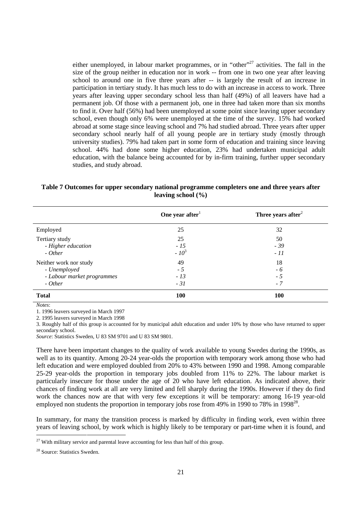either unemployed, in labour market programmes, or in "other"<sup>27</sup> activities. The fall in the size of the group neither in education nor in work -- from one in two one year after leaving school to around one in five three years after -- is largely the result of an increase in participation in tertiary study. It has much less to do with an increase in access to work. Three years after leaving upper secondary school less than half (49%) of all leavers have had a permanent job. Of those with a permanent job, one in three had taken more than six months to find it. Over half (56%) had been unemployed at some point since leaving upper secondary school, even though only 6% were unemployed at the time of the survey. 15% had worked abroad at some stage since leaving school and 7% had studied abroad. Three years after upper secondary school nearly half of all young people are in tertiary study (mostly through university studies). 79% had taken part in some form of education and training since leaving school. 44% had done some higher education, 23% had undertaken municipal adult education, with the balance being accounted for by in-firm training, further upper secondary studies, and study abroad.

| Table 7 Outcomes for upper secondary national programme completers one and three years after |  |
|----------------------------------------------------------------------------------------------|--|
| leaving school $(\% )$                                                                       |  |

|                                                                                 | One year after               | Three years after $2$      |
|---------------------------------------------------------------------------------|------------------------------|----------------------------|
| Employed                                                                        | 25                           | 32                         |
| Tertiary study<br>- Higher education<br>$- Other$                               | 25<br>$-15$<br>$-10^3$       | 50<br>$-39$<br>$-11$       |
| Neither work nor study<br>- Unemployed<br>- Labour market programmes<br>- Other | 49<br>$-5$<br>$-13$<br>$-31$ | 18<br>$-6$<br>$-5$<br>$-7$ |
| <b>Total</b>                                                                    | <b>100</b>                   | <b>100</b>                 |

*Notes*:

1. 1996 leavers surveyed in March 1997

2. 1995 leavers surveyed in March 1998

3. Roughly half of this group is accounted for by municipal adult education and under 10% by those who have returned to upper secondary school.

*Source*: Statistics Sweden, U 83 SM 9701 and U 83 SM 9801.

There have been important changes to the quality of work available to young Swedes during the 1990s, as well as to its quantity. Among 20-24 year-olds the proportion with temporary work among those who had left education and were employed doubled from 20% to 43% between 1990 and 1998. Among comparable 25-29 year-olds the proportion in temporary jobs doubled from 11% to 22%. The labour market is particularly insecure for those under the age of 20 who have left education. As indicated above, their chances of finding work at all are very limited and fell sharply during the 1990s. However if they do find work the chances now are that with very few exceptions it will be temporary: among 16-19 year-old employed non students the proportion in temporary jobs rose from 49% in 1990 to 78% in 1998<sup>28</sup>.

In summary, for many the transition process is marked by difficulty in finding work, even within three years of leaving school, by work which is highly likely to be temporary or part-time when it is found, and

 $27$  With military service and parental leave accounting for less than half of this group.

<sup>28</sup> Source: Statistics Sweden.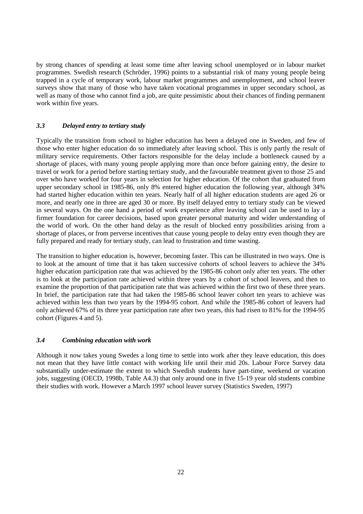by strong chances of spending at least some time after leaving school unemployed or in labour market programmes. Swedish research (Schröder, 1996) points to a substantial risk of many young people being trapped in a cycle of temporary work, labour market programmes and unemployment, and school leaver surveys show that many of those who have taken vocational programmes in upper secondary school, as well as many of those who cannot find a job, are quite pessimistic about their chances of finding permanent work within five years.

## *3.3 Delayed entry to tertiary study*

Typically the transition from school to higher education has been a delayed one in Sweden, and few of those who enter higher education do so immediately after leaving school. This is only partly the result of military service requirements. Other factors responsible for the delay include a bottleneck caused by a shortage of places, with many young people applying more than once before gaining entry, the desire to travel or work for a period before starting tertiary study, and the favourable treatment given to those 25 and over who have worked for four years in selection for higher education. Of the cohort that graduated from upper secondary school in 1985-86, only 8% entered higher education the following year, although 34% had started higher education within ten years. Nearly half of all higher education students are aged 26 or more, and nearly one in three are aged 30 or more. By itself delayed entry to tertiary study can be viewed in several ways. On the one hand a period of work experience after leaving school can be used to lay a firmer foundation for career decisions, based upon greater personal maturity and wider understanding of the world of work. On the other hand delay as the result of blocked entry possibilities arising from a shortage of places, or from perverse incentives that cause young people to delay entry even though they are fully prepared and ready for tertiary study, can lead to frustration and time wasting.

The transition to higher education is, however, becoming faster. This can be illustrated in two ways. One is to look at the amount of time that it has taken successive cohorts of school leavers to achieve the 34% higher education participation rate that was achieved by the 1985-86 cohort only after ten years. The other is to look at the participation rate achieved within three years by a cohort of school leavers, and then to examine the proportion of that participation rate that was achieved within the first two of these three years. In brief, the participation rate that had taken the 1985-86 school leaver cohort ten years to achieve was achieved within less than two years by the 1994-95 cohort. And while the 1985-86 cohort of leavers had only achieved 67% of its three year participation rate after two years, this had risen to 81% for the 1994-95 cohort (Figures 4 and 5).

## *3.4 Combining education with work*

Although it now takes young Swedes a long time to settle into work after they leave education, this does not mean that they have little contact with working life until their mid 20s. Labour Force Survey data substantially under-estimate the extent to which Swedish students have part-time, weekend or vacation jobs, suggesting (OECD, 1998b, Table A4.3) that only around one in five 15-19 year old students combine their studies with work. However a March 1997 school leaver survey (Statistics Sweden, 1997)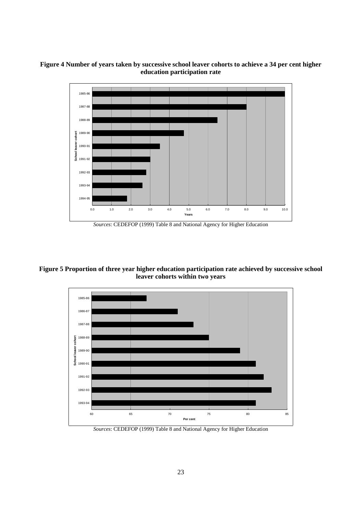



*Sources*: CEDEFOP (1999) Table 8 and National Agency for Higher Education

**Figure 5 Proportion of three year higher education participation rate achieved by successive school leaver cohorts within two years**



*Sources*: CEDEFOP (1999) Table 8 and National Agency for Higher Education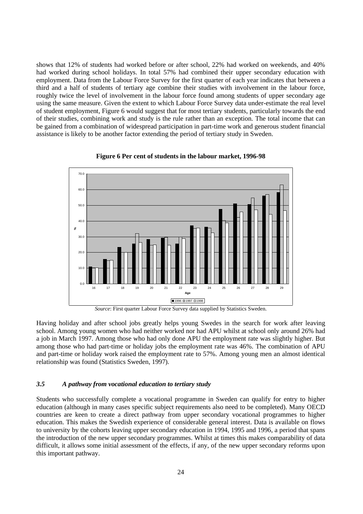shows that 12% of students had worked before or after school, 22% had worked on weekends, and 40% had worked during school holidays. In total 57% had combined their upper secondary education with employment. Data from the Labour Force Survey for the first quarter of each year indicates that between a third and a half of students of tertiary age combine their studies with involvement in the labour force, roughly twice the level of involvement in the labour force found among students of upper secondary age using the same measure. Given the extent to which Labour Force Survey data under-estimate the real level of student employment, Figure 6 would suggest that for most tertiary students, particularly towards the end of their studies, combining work and study is the rule rather than an exception. The total income that can be gained from a combination of widespread participation in part-time work and generous student financial assistance is likely to be another factor extending the period of tertiary study in Sweden.



#### **Figure 6 Per cent of students in the labour market, 1996-98**

Having holiday and after school jobs greatly helps young Swedes in the search for work after leaving school. Among young women who had neither worked nor had APU whilst at school only around 26% had a job in March 1997. Among those who had only done APU the employment rate was slightly higher. But among those who had part-time or holiday jobs the employment rate was 46%. The combination of APU and part-time or holiday work raised the employment rate to 57%. Among young men an almost identical relationship was found (Statistics Sweden, 1997).

## *3.5 A pathway from vocational education to tertiary study*

Students who successfully complete a vocational programme in Sweden can qualify for entry to higher education (although in many cases specific subject requirements also need to be completed). Many OECD countries are keen to create a direct pathway from upper secondary vocational programmes to higher education. This makes the Swedish experience of considerable general interest. Data is available on flows to university by the cohorts leaving upper secondary education in 1994, 1995 and 1996, a period that spans the introduction of the new upper secondary programmes. Whilst at times this makes comparability of data difficult, it allows some initial assessment of the effects, if any, of the new upper secondary reforms upon this important pathway.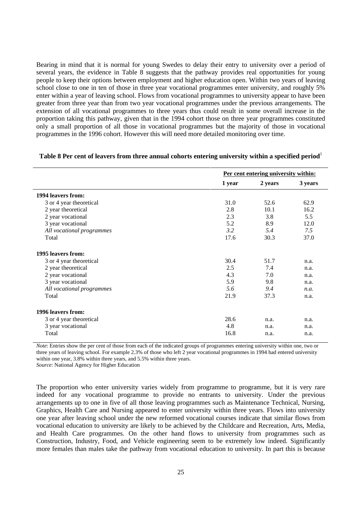Bearing in mind that it is normal for young Swedes to delay their entry to university over a period of several years, the evidence in Table 8 suggests that the pathway provides real opportunities for young people to keep their options between employment and higher education open. Within two years of leaving school close to one in ten of those in three year vocational programmes enter university, and roughly 5% enter within a year of leaving school. Flows from vocational programmes to university appear to have been greater from three year than from two year vocational programmes under the previous arrangements. The extension of all vocational programmes to three years thus could result in some overall increase in the proportion taking this pathway, given that in the 1994 cohort those on three year programmes constituted only a small proportion of all those in vocational programmes but the majority of those in vocational programmes in the 1996 cohort. However this will need more detailed monitoring over time.

|                           | Per cent entering university within: |         |         |  |  |
|---------------------------|--------------------------------------|---------|---------|--|--|
|                           | 1 year                               | 2 years | 3 years |  |  |
| 1994 leavers from:        |                                      |         |         |  |  |
| 3 or 4 year theoretical   | 31.0                                 | 52.6    | 62.9    |  |  |
| 2 year theoretical        | 2.8                                  | 10.1    | 16.2    |  |  |
| 2 year vocational         | 2.3                                  | 3.8     | 5.5     |  |  |
| 3 year vocational         | 5.2                                  | 8.9     | 12.0    |  |  |
| All vocational programmes | 3.2                                  | 5.4     | 7.5     |  |  |
| Total                     | 17.6                                 | 30.3    | 37.0    |  |  |
| 1995 leavers from:        |                                      |         |         |  |  |
| 3 or 4 year theoretical   | 30.4                                 | 51.7    | n.a.    |  |  |
| 2 year theoretical        | 2.5                                  | 7.4     | n.a.    |  |  |
| 2 year vocational         | 4.3                                  | 7.0     | n.a.    |  |  |
| 3 year vocational         | 5.9                                  | 9.8     | n.a.    |  |  |
| All vocational programmes | 5.6                                  | 9.4     | n.a.    |  |  |
| Total                     | 21.9                                 | 37.3    | n.a.    |  |  |
| 1996 leavers from:        |                                      |         |         |  |  |
| 3 or 4 year theoretical   | 28.6                                 | n.a.    | n.a.    |  |  |
| 3 year vocational         | 4.8                                  | n.a.    | n.a.    |  |  |
| Total                     | 16.8                                 | n.a.    | n.a.    |  |  |

#### Table 8 Per cent of leavers from three annual cohorts entering university within a specified period<sup>1</sup>

*Note*: Entries show the per cent of those from each of the indicated groups of programmes entering university within one, two or three years of leaving school. For example 2.3% of those who left 2 year vocational programmes in 1994 had entered university within one year, 3.8% within three years, and 5.5% within three years.

*Source*: National Agency for Higher Education

The proportion who enter university varies widely from programme to programme, but it is very rare indeed for any vocational programme to provide no entrants to university. Under the previous arrangements up to one in five of all those leaving programmes such as Maintenance Technical, Nursing, Graphics, Health Care and Nursing appeared to enter university within three years. Flows into university one year after leaving school under the new reformed vocational courses indicate that similar flows from vocational education to university are likely to be achieved by the Childcare and Recreation, Arts, Media, and Health Care programmes. On the other hand flows to university from programmes such as Construction, Industry, Food, and Vehicle engineering seem to be extremely low indeed. Significantly more females than males take the pathway from vocational education to university. In part this is because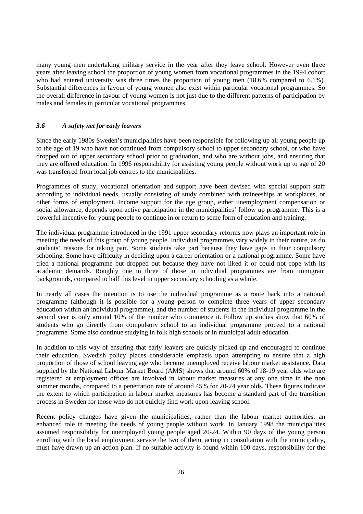many young men undertaking military service in the year after they leave school. However even three years after leaving school the proportion of young women from vocational programmes in the 1994 cohort who had entered university was three times the proportion of young men (18.6% compared to 6.1%). Substantial differences in favour of young women also exist within particular vocational programmes. So the overall difference in favour of young women is not just due to the different patterns of participation by males and females in particular vocational programmes.

## *3.6 A safety net for early leavers*

Since the early 1980s Sweden's municipalities have been responsible for following up all young people up to the age of 19 who have not continued from compulsory school to upper secondary school, or who have dropped out of upper secondary school prior to graduation, and who are without jobs, and ensuring that they are offered education. In 1996 responsibility for assisting young people without work up to age of 20 was transferred from local job centres to the municipalities.

Programmes of study, vocational orientation and support have been devised with special support staff according to individual needs, usually consisting of study combined with traineeships at workplaces, or other forms of employment. Income support for the age group, either unemployment compensation or social allowance, depends upon active participation in the municipalities' follow up programme. This is a powerful incentive for young people to continue in or return to some form of education and training.

The individual programme introduced in the 1991 upper secondary reforms now plays an important role in meeting the needs of this group of young people. Individual programmes vary widely in their nature, as do students' reasons for taking part. Some students take part because they have gaps in their compulsory schooling. Some have difficulty in deciding upon a career orientation or a national programme. Some have tried a national programme but dropped out because they have not liked it or could not cope with its academic demands. Roughly one in three of those in individual programmes are from immigrant backgrounds, compared to half this level in upper secondary schooling as a whole.

In nearly all cases the intention is to use the individual programme as a route back into a national programme (although it is possible for a young person to complete three years of upper secondary education within an individual programme), and the number of students in the individual programme in the second year is only around 10% of the number who commence it. Follow up studies show that 60% of students who go directly from compulsory school to an individual programme proceed to a national programme. Some also continue studying in folk high schools or in municipal adult education.

In addition to this way of ensuring that early leavers are quickly picked up and encouraged to continue their education, Swedish policy places considerable emphasis upon attempting to ensure that a high proportion of those of school leaving age who become unemployed receive labour market assistance. Data supplied by the National Labour Market Board (AMS) shows that around 60% of 18-19 year olds who are registered at employment offices are involved in labour market measures at any one time in the non summer months, compared to a penetration rate of around 45% for 20-24 year olds. These figures indicate the extent to which participation in labour market measures has become a standard part of the transition process in Sweden for those who do not quickly find work upon leaving school.

Recent policy changes have given the municipalities, rather than the labour market authorities, an enhanced role in meeting the needs of young people without work. In January 1998 the municipalities assumed responsibility for unemployed young people aged 20-24. Within 90 days of the young person enrolling with the local employment service the two of them, acting in consultation with the municipality, must have drawn up an action plan. If no suitable activity is found within 100 days, responsibility for the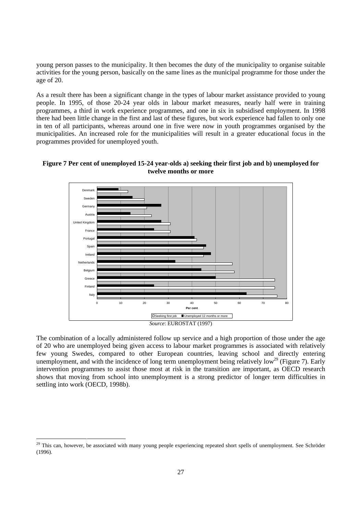young person passes to the municipality. It then becomes the duty of the municipality to organise suitable activities for the young person, basically on the same lines as the municipal programme for those under the age of 20.

As a result there has been a significant change in the types of labour market assistance provided to young people. In 1995, of those 20-24 year olds in labour market measures, nearly half were in training programmes, a third in work experience programmes, and one in six in subsidised employment. In 1998 there had been little change in the first and last of these figures, but work experience had fallen to only one in ten of all participants, whereas around one in five were now in youth programmes organised by the municipalities. An increased role for the municipalities will result in a greater educational focus in the programmes provided for unemployed youth.



## **Figure 7 Per cent of unemployed 15-24 year-olds a) seeking their first job and b) unemployed for twelve months or more**

*Source*: EUROSTAT (1997)

The combination of a locally administered follow up service and a high proportion of those under the age of 20 who are unemployed being given access to labour market programmes is associated with relatively few young Swedes, compared to other European countries, leaving school and directly entering unemployment, and with the incidence of long term unemployment being relatively low<sup>29</sup> (Figure 7). Early intervention programmes to assist those most at risk in the transition are important, as OECD research shows that moving from school into unemployment is a strong predictor of longer term difficulties in settling into work (OECD, 1998b).

<sup>&</sup>lt;sup>29</sup> This can, however, be associated with many young people experiencing repeated short spells of unemployment. See Schröder (1996).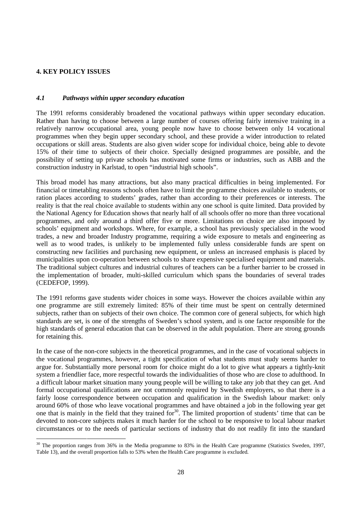## **4. KEY POLICY ISSUES**

## *4.1 Pathways within upper secondary education*

The 1991 reforms considerably broadened the vocational pathways within upper secondary education. Rather than having to choose between a large number of courses offering fairly intensive training in a relatively narrow occupational area, young people now have to choose between only 14 vocational programmes when they begin upper secondary school, and these provide a wider introduction to related occupations or skill areas. Students are also given wider scope for individual choice, being able to devote 15% of their time to subjects of their choice. Specially designed programmes are possible, and the possibility of setting up private schools has motivated some firms or industries, such as ABB and the construction industry in Karlstad, to open "industrial high schools".

This broad model has many attractions, but also many practical difficulties in being implemented. For financial or timetabling reasons schools often have to limit the programme choices available to students, or ration places according to students' grades, rather than according to their preferences or interests. The reality is that the real choice available to students within any one school is quite limited. Data provided by the National Agency for Education shows that nearly half of all schools offer no more than three vocational programmes, and only around a third offer five or more. Limitations on choice are also imposed by schools' equipment and workshops. Where, for example, a school has previously specialised in the wood trades, a new and broader Industry programme, requiring a wide exposure to metals and engineering as well as to wood trades, is unlikely to be implemented fully unless considerable funds are spent on constructing new facilities and purchasing new equipment, or unless an increased emphasis is placed by municipalities upon co-operation between schools to share expensive specialised equipment and materials. The traditional subject cultures and industrial cultures of teachers can be a further barrier to be crossed in the implementation of broader, multi-skilled curriculum which spans the boundaries of several trades (CEDEFOP, 1999).

The 1991 reforms gave students wider choices in some ways. However the choices available within any one programme are still extremely limited: 85% of their time must be spent on centrally determined subjects, rather than on subjects of their own choice. The common core of general subjects, for which high standards are set, is one of the strengths of Sweden's school system, and is one factor responsible for the high standards of general education that can be observed in the adult population. There are strong grounds for retaining this.

In the case of the non-core subjects in the theoretical programmes, and in the case of vocational subjects in the vocational programmes, however, a tight specification of what students must study seems harder to argue for. Substantially more personal room for choice might do a lot to give what appears a tightly-knit system a friendlier face, more respectful towards the individualities of those who are close to adulthood. In a difficult labour market situation many young people will be willing to take any job that they can get. And formal occupational qualifications are not commonly required by Swedish employers, so that there is a fairly loose correspondence between occupation and qualification in the Swedish labour market: only around 60% of those who leave vocational programmes and have obtained a job in the following year get one that is mainly in the field that they trained for<sup>30</sup>. The limited proportion of students' time that can be devoted to non-core subjects makes it much harder for the school to be responsive to local labour market circumstances or to the needs of particular sections of industry that do not readily fit into the standard

<sup>&</sup>lt;sup>30</sup> The proportion ranges from 36% in the Media programme to 83% in the Health Care programme (Statistics Sweden, 1997, Table 13), and the overall proportion falls to 53% when the Health Care programme is excluded.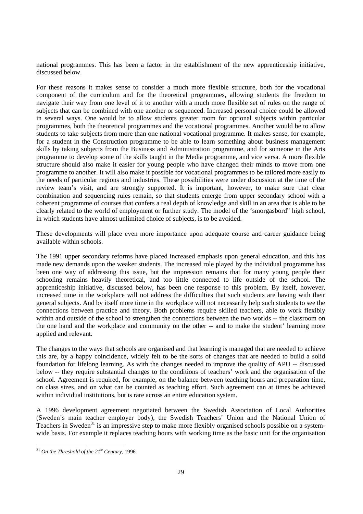national programmes. This has been a factor in the establishment of the new apprenticeship initiative, discussed below.

For these reasons it makes sense to consider a much more flexible structure, both for the vocational component of the curriculum and for the theoretical programmes, allowing students the freedom to navigate their way from one level of it to another with a much more flexible set of rules on the range of subjects that can be combined with one another or sequenced. Increased personal choice could be allowed in several ways. One would be to allow students greater room for optional subjects within particular programmes, both the theoretical programmes and the vocational programmes. Another would be to allow students to take subjects from more than one national vocational programme. It makes sense, for example, for a student in the Construction programme to be able to learn something about business management skills by taking subjects from the Business and Administration programme, and for someone in the Arts programme to develop some of the skills taught in the Media programme, and vice versa. A more flexible structure should also make it easier for young people who have changed their minds to move from one programme to another. It will also make it possible for vocational programmes to be tailored more easily to the needs of particular regions and industries. These possibilities were under discussion at the time of the review team's visit, and are strongly supported. It is important, however, to make sure that clear combination and sequencing rules remain, so that students emerge from upper secondary school with a coherent programme of courses that confers a real depth of knowledge and skill in an area that is able to be clearly related to the world of employment or further study. The model of the 'smorgasbord" high school, in which students have almost unlimited choice of subjects, is to be avoided.

These developments will place even more importance upon adequate course and career guidance being available within schools.

The 1991 upper secondary reforms have placed increased emphasis upon general education, and this has made new demands upon the weaker students. The increased role played by the individual programme has been one way of addressing this issue, but the impression remains that for many young people their schooling remains heavily theoretical, and too little connected to life outside of the school. The apprenticeship initiative, discussed below, has been one response to this problem. By itself, however, increased time in the workplace will not address the difficulties that such students are having with their general subjects. And by itself more time in the workplace will not necessarily help such students to see the connections between practice and theory. Both problems require skilled teachers, able to work flexibly within and outside of the school to strengthen the connections between the two worlds -- the classroom on the one hand and the workplace and community on the other -- and to make the student' learning more applied and relevant.

The changes to the ways that schools are organised and that learning is managed that are needed to achieve this are, by a happy coincidence, widely felt to be the sorts of changes that are needed to build a solid foundation for lifelong learning. As with the changes needed to improve the quality of APU -- discussed below -- they require substantial changes to the conditions of teachers' work and the organisation of the school. Agreement is required, for example, on the balance between teaching hours and preparation time, on class sizes, and on what can be counted as teaching effort. Such agreement can at times be achieved within individual institutions, but is rare across an entire education system.

A 1996 development agreement negotiated between the Swedish Association of Local Authorities (Sweden's main teacher employer body), the Swedish Teachers' Union and the National Union of Teachers in Sweden<sup>31</sup> is an impressive step to make more flexibly organised schools possible on a systemwide basis. For example it replaces teaching hours with working time as the basic unit for the organisation

 <sup>31</sup> *On the Threshold of the 21st Century*, 1996.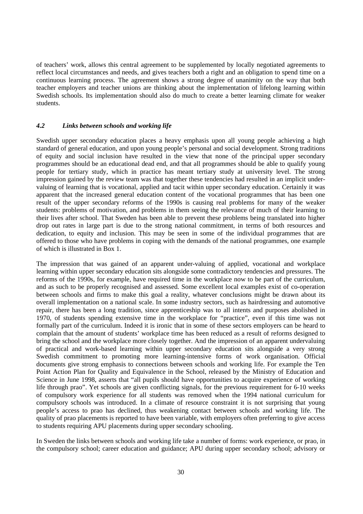of teachers' work, allows this central agreement to be supplemented by locally negotiated agreements to reflect local circumstances and needs, and gives teachers both a right and an obligation to spend time on a continuous learning process. The agreement shows a strong degree of unanimity on the way that both teacher employers and teacher unions are thinking about the implementation of lifelong learning within Swedish schools. Its implementation should also do much to create a better learning climate for weaker students.

## *4.2 Links between schools and working life*

Swedish upper secondary education places a heavy emphasis upon all young people achieving a high standard of general education, and upon young people's personal and social development. Strong traditions of equity and social inclusion have resulted in the view that none of the principal upper secondary programmes should be an educational dead end, and that all programmes should be able to qualify young people for tertiary study, which in practice has meant tertiary study at university level. The strong impression gained by the review team was that together these tendencies had resulted in an implicit undervaluing of learning that is vocational, applied and tacit within upper secondary education. Certainly it was apparent that the increased general education content of the vocational programmes that has been one result of the upper secondary reforms of the 1990s is causing real problems for many of the weaker students: problems of motivation, and problems in them seeing the relevance of much of their learning to their lives after school. That Sweden has been able to prevent these problems being translated into higher drop out rates in large part is due to the strong national commitment, in terms of both resources and dedication, to equity and inclusion. This may be seen in some of the individual programmes that are offered to those who have problems in coping with the demands of the national programmes, one example of which is illustrated in Box 1.

The impression that was gained of an apparent under-valuing of applied, vocational and workplace learning within upper secondary education sits alongside some contradictory tendencies and pressures. The reforms of the 1990s, for example, have required time in the workplace now to be part of the curriculum, and as such to be properly recognised and assessed. Some excellent local examples exist of co-operation between schools and firms to make this goal a reality, whatever conclusions might be drawn about its overall implementation on a national scale. In some industry sectors, such as hairdressing and automotive repair, there has been a long tradition, since apprenticeship was to all intents and purposes abolished in 1970, of students spending extensive time in the workplace for "practice", even if this time was not formally part of the curriculum. Indeed it is ironic that in some of these sectors employers can be heard to complain that the amount of students' workplace time has been reduced as a result of reforms designed to bring the school and the workplace more closely together. And the impression of an apparent undervaluing of practical and work-based learning within upper secondary education sits alongside a very strong Swedish commitment to promoting more learning-intensive forms of work organisation. Official documents give strong emphasis to connections between schools and working life. For example the Ten Point Action Plan for Quality and Equivalence in the School, released by the Ministry of Education and Science in June 1998, asserts that "all pupils should have opportunities to acquire experience of working life through prao". Yet schools are given conflicting signals, for the previous requirement for 6-10 weeks of compulsory work experience for all students was removed when the 1994 national curriculum for compulsory schools was introduced. In a climate of resource constraint it is not surprising that young people's access to prao has declined, thus weakening contact between schools and working life. The quality of prao placements is reported to have been variable, with employers often preferring to give access to students requiring APU placements during upper secondary schooling.

In Sweden the links between schools and working life take a number of forms: work experience, or prao, in the compulsory school; career education and guidance; APU during upper secondary school; advisory or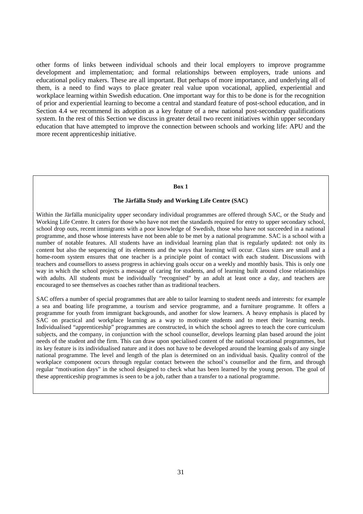other forms of links between individual schools and their local employers to improve programme development and implementation; and formal relationships between employers, trade unions and educational policy makers. These are all important. But perhaps of more importance, and underlying all of them, is a need to find ways to place greater real value upon vocational, applied, experiential and workplace learning within Swedish education. One important way for this to be done is for the recognition of prior and experiential learning to become a central and standard feature of post-school education, and in Section 4.4 we recommend its adoption as a key feature of a new national post-secondary qualifications system. In the rest of this Section we discuss in greater detail two recent initiatives within upper secondary education that have attempted to improve the connection between schools and working life: APU and the more recent apprenticeship initiative.

#### **Box 1**

#### **The Järfälla Study and Working Life Centre (SAC)**

Within the Järfälla municipality upper secondary individual programmes are offered through SAC, or the Study and Working Life Centre. It caters for those who have not met the standards required for entry to upper secondary school, school drop outs, recent immigrants with a poor knowledge of Swedish, those who have not succeeded in a national programme, and those whose interests have not been able to be met by a national programme. SAC is a school with a number of notable features. All students have an individual learning plan that is regularly updated: not only its content but also the sequencing of its elements and the ways that learning will occur. Class sizes are small and a home-room system ensures that one teacher is a principle point of contact with each student. Discussions with teachers and counsellors to assess progress in achieving goals occur on a weekly and monthly basis. This is only one way in which the school projects a message of caring for students, and of learning built around close relationships with adults. All students must be individually "recognised" by an adult at least once a day, and teachers are encouraged to see themselves as coaches rather than as traditional teachers.

SAC offers a number of special programmes that are able to tailor learning to student needs and interests: for example a sea and boating life programme, a tourism and service programme, and a furniture programme. It offers a programme for youth from immigrant backgrounds, and another for slow learners. A heavy emphasis is placed by SAC on practical and workplace learning as a way to motivate students and to meet their learning needs. Individualised "apprenticeship" programmes are constructed, in which the school agrees to teach the core curriculum subjects, and the company, in conjunction with the school counsellor, develops learning plan based around the joint needs of the student and the firm. This can draw upon specialised content of the national vocational programmes, but its key feature is its individualised nature and it does not have to be developed around the learning goals of any single national programme. The level and length of the plan is determined on an individual basis. Quality control of the workplace component occurs through regular contact between the school's counsellor and the firm, and through regular "motivation days" in the school designed to check what has been learned by the young person. The goal of these apprenticeship programmes is seen to be a job, rather than a transfer to a national programme.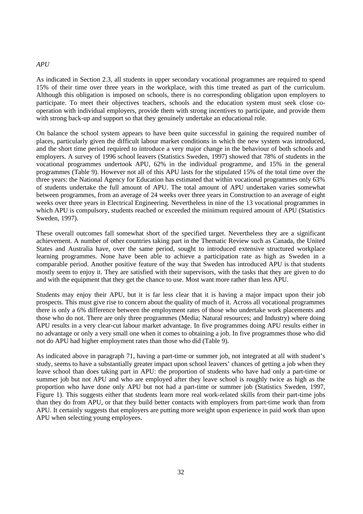## *APU*

As indicated in Section 2.3, all students in upper secondary vocational programmes are required to spend 15% of their time over three years in the workplace, with this time treated as part of the curriculum. Although this obligation is imposed on schools, there is no corresponding obligation upon employers to participate. To meet their objectives teachers, schools and the education system must seek close cooperation with individual employers, provide them with strong incentives to participate, and provide them with strong back-up and support so that they genuinely undertake an educational role.

On balance the school system appears to have been quite successful in gaining the required number of places, particularly given the difficult labour market conditions in which the new system was introduced, and the short time period required to introduce a very major change in the behaviour of both schools and employers. A survey of 1996 school leavers (Statistics Sweden, 1997) showed that 78% of students in the vocational programmes undertook APU, 62% in the individual programme, and 15% in the general programmes (Table 9). However not all of this APU lasts for the stipulated 15% of the total time over the three years: the National Agency for Education has estimated that within vocational programmes only 63% of students undertake the full amount of APU. The total amount of APU undertaken varies somewhat between programmes, from an average of 24 weeks over three years in Construction to an average of eight weeks over three years in Electrical Engineering. Nevertheless in nine of the 13 vocational programmes in which APU is compulsory, students reached or exceeded the minimum required amount of APU (Statistics Sweden, 1997).

These overall outcomes fall somewhat short of the specified target. Nevertheless they are a significant achievement. A number of other countries taking part in the Thematic Review such as Canada, the United States and Australia have, over the same period, sought to introduced extensive structured workplace learning programmes. None have been able to achieve a participation rate as high as Sweden in a comparable period. Another positive feature of the way that Sweden has introduced APU is that students mostly seem to enjoy it. They are satisfied with their supervisors, with the tasks that they are given to do and with the equipment that they get the chance to use. Most want more rather than less APU.

Students may enjoy their APU, but it is far less clear that it is having a major impact upon their job prospects. This must give rise to concern about the quality of much of it. Across all vocational programmes there is only a 6% difference between the employment rates of those who undertake work placements and those who do not. There are only three programmes (Media; Natural resources; and Industry) where doing APU results in a very clear-cut labour market advantage. In five programmes doing APU results either in no advantage or only a very small one when it comes to obtaining a job. In five programmes those who did not do APU had higher employment rates than those who did (Table 9).

As indicated above in paragraph 71, having a part-time or summer job, not integrated at all with student's study, seems to have a substantially greater impact upon school leavers' chances of getting a job when they leave school than does taking part in APU: the proportion of students who have had only a part-time or summer job but not APU and who are employed after they leave school is roughly twice as high as the proportion who have done only APU but not had a part-time or summer job (Statistics Sweden, 1997, Figure 1). This suggests either that students learn more real work-related skills from their part-time jobs than they do from APU, or that they build better contacts with employers from part-time work than from APU. It certainly suggests that employers are putting more weight upon experience in paid work than upon APU when selecting young employees.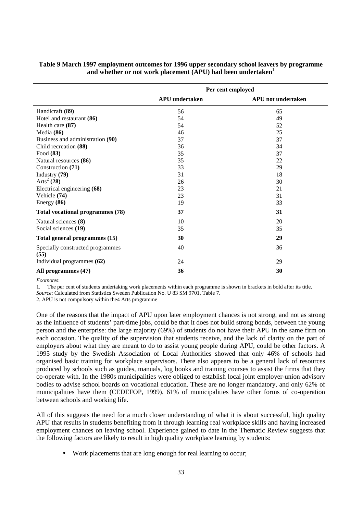|                                          | Per cent employed     |                           |  |  |  |
|------------------------------------------|-----------------------|---------------------------|--|--|--|
|                                          | <b>APU</b> undertaken | <b>APU</b> not undertaken |  |  |  |
| Handicraft (89)                          | 56                    | 65                        |  |  |  |
| Hotel and restaurant (86)                | 54                    | 49                        |  |  |  |
| Health care (87)                         | 54                    | 52                        |  |  |  |
| Media (86)                               | 46                    | 25                        |  |  |  |
| Business and administration (90)         | 37                    | 37                        |  |  |  |
| Child recreation (88)                    | 36                    | 34                        |  |  |  |
| Food (83)                                | 35                    | 37                        |  |  |  |
| Natural resources (86)                   | 35                    | 22                        |  |  |  |
| Construction (71)                        | 33                    | 29                        |  |  |  |
| Industry (79)                            | 31                    | 18                        |  |  |  |
| Arts <sup>2</sup> (28)                   | 26                    | 30                        |  |  |  |
| Electrical engineering (68)              | 23                    | 21                        |  |  |  |
| Vehicle (74)                             | 23                    | 31                        |  |  |  |
| Energy $(86)$                            | 19                    | 33                        |  |  |  |
| Total vocational programmes (78)         | 37                    | 31                        |  |  |  |
| Natural sciences (8)                     | 10                    | 20                        |  |  |  |
| Social sciences (19)                     | 35                    | 35                        |  |  |  |
| Total general programmes (15)            | 30                    | 29                        |  |  |  |
| Specially constructed programmes<br>(55) | 40                    | 36                        |  |  |  |
| Individual programmes (62)               | 24                    | 29                        |  |  |  |
| All programmes (47)                      | 36                    | 30                        |  |  |  |

## **Table 9 March 1997 employment outcomes for 1996 upper secondary school leavers by programme** and whether or not work placement (APU) had been undertaken<sup>1</sup>

*Footnotes*:

1. The per cent of students undertaking work placements within each programme is shown in brackets in bold after its title.

*Source*: Calculated from Statistics Sweden Publication No. U 83 SM 9701, Table 7.

2. APU is not compulsory within the4 Arts programme

One of the reasons that the impact of APU upon later employment chances is not strong, and not as strong as the influence of students' part-time jobs, could be that it does not build strong bonds, between the young person and the enterprise: the large majority (69%) of students do not have their APU in the same firm on each occasion. The quality of the supervision that students receive, and the lack of clarity on the part of employers about what they are meant to do to assist young people during APU, could be other factors. A 1995 study by the Swedish Association of Local Authorities showed that only 46% of schools had organised basic training for workplace supervisors. There also appears to be a general lack of resources produced by schools such as guides, manuals, log books and training courses to assist the firms that they co-operate with. In the 1980s municipalities were obliged to establish local joint employer-union advisory bodies to advise school boards on vocational education. These are no longer mandatory, and only 62% of municipalities have them (CEDEFOP, 1999). 61% of municipalities have other forms of co-operation between schools and working life.

All of this suggests the need for a much closer understanding of what it is about successful, high quality APU that results in students benefiting from it through learning real workplace skills and having increased employment chances on leaving school. Experience gained to date in the Thematic Review suggests that the following factors are likely to result in high quality workplace learning by students:

• Work placements that are long enough for real learning to occur;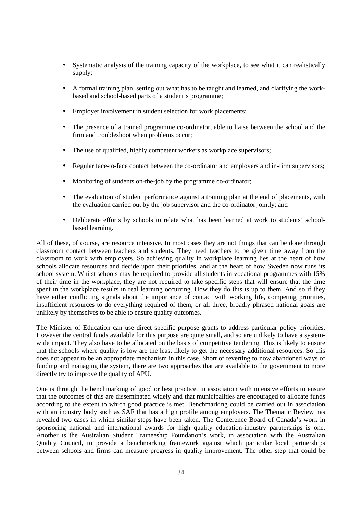- Systematic analysis of the training capacity of the workplace, to see what it can realistically supply;
- A formal training plan, setting out what has to be taught and learned, and clarifying the workbased and school-based parts of a student's programme;
- Employer involvement in student selection for work placements:
- The presence of a trained programme co-ordinator, able to liaise between the school and the firm and troubleshoot when problems occur;
- The use of qualified, highly competent workers as workplace supervisors;
- Regular face-to-face contact between the co-ordinator and employers and in-firm supervisors;
- Monitoring of students on-the-job by the programme co-ordinator;
- The evaluation of student performance against a training plan at the end of placements, with the evaluation carried out by the job supervisor and the co-ordinator jointly; and
- Deliberate efforts by schools to relate what has been learned at work to students' schoolbased learning.

All of these, of course, are resource intensive. In most cases they are not things that can be done through classroom contact between teachers and students. They need teachers to be given time away from the classroom to work with employers. So achieving quality in workplace learning lies at the heart of how schools allocate resources and decide upon their priorities, and at the heart of how Sweden now runs its school system. Whilst schools may be required to provide all students in vocational programmes with 15% of their time in the workplace, they are not required to take specific steps that will ensure that the time spent in the workplace results in real learning occurring. How they do this is up to them. And so if they have either conflicting signals about the importance of contact with working life, competing priorities, insufficient resources to do everything required of them, or all three, broadly phrased national goals are unlikely by themselves to be able to ensure quality outcomes.

The Minister of Education can use direct specific purpose grants to address particular policy priorities. However the central funds available for this purpose are quite small, and so are unlikely to have a systemwide impact. They also have to be allocated on the basis of competitive tendering. This is likely to ensure that the schools where quality is low are the least likely to get the necessary additional resources. So this does not appear to be an appropriate mechanism in this case. Short of reverting to now abandoned ways of funding and managing the system, there are two approaches that are available to the government to more directly try to improve the quality of APU.

One is through the benchmarking of good or best practice, in association with intensive efforts to ensure that the outcomes of this are disseminated widely and that municipalities are encouraged to allocate funds according to the extent to which good practice is met. Benchmarking could be carried out in association with an industry body such as SAF that has a high profile among employers. The Thematic Review has revealed two cases in which similar steps have been taken. The Conference Board of Canada's work in sponsoring national and international awards for high quality education-industry partnerships is one. Another is the Australian Student Traineeship Foundation's work, in association with the Australian Quality Council, to provide a benchmarking framework against which particular local partnerships between schools and firms can measure progress in quality improvement. The other step that could be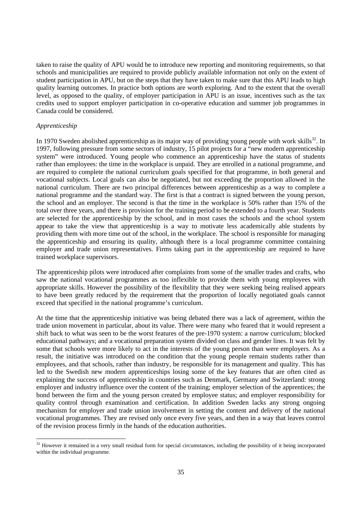taken to raise the quality of APU would be to introduce new reporting and monitoring requirements, so that schools and municipalities are required to provide publicly available information not only on the extent of student participation in APU, but on the steps that they have taken to make sure that this APU leads to high quality learning outcomes. In practice both options are worth exploring. And to the extent that the overall level, as opposed to the quality, of employer participation in APU is an issue, incentives such as the tax credits used to support employer participation in co-operative education and summer job programmes in Canada could be considered.

#### *Apprenticeship*

In 1970 Sweden abolished apprenticeship as its major way of providing young people with work skills<sup>32</sup>. In 1997, following pressure from some sectors of industry, 15 pilot projects for a "new modern apprenticeship system" were introduced. Young people who commence an apprenticeship have the status of students rather than employees: the time in the workplace is unpaid. They are enrolled in a national programme, and are required to complete the national curriculum goals specified for that programme, in both general and vocational subjects. Local goals can also be negotiated, but not exceeding the proportion allowed in the national curriculum. There are two principal differences between apprenticeship as a way to complete a national programme and the standard way. The first is that a contract is signed between the young person, the school and an employer. The second is that the time in the workplace is 50% rather than 15% of the total over three years, and there is provision for the training period to be extended to a fourth year. Students are selected for the apprenticeship by the school, and in most cases the schools and the school system appear to take the view that apprenticeship is a way to motivate less academically able students by providing them with more time out of the school, in the workplace. The school is responsible for managing the apprenticeship and ensuring its quality, although there is a local programme committee containing employer and trade union representatives. Firms taking part in the apprenticeship are required to have trained workplace supervisors.

The apprenticeship pilots were introduced after complaints from some of the smaller trades and crafts, who saw the national vocational programmes as too inflexible to provide them with young employees with appropriate skills. However the possibility of the flexibility that they were seeking being realised appears to have been greatly reduced by the requirement that the proportion of locally negotiated goals cannot exceed that specified in the national programme's curriculum.

At the time that the apprenticeship initiative was being debated there was a lack of agreement, within the trade union movement in particular, about its value. There were many who feared that it would represent a shift back to what was seen to be the worst features of the pre-1970 system: a narrow curriculum; blocked educational pathways; and a vocational preparation system divided on class and gender lines. It was felt by some that schools were more likely to act in the interests of the young person than were employers. As a result, the initiative was introduced on the condition that the young people remain students rather than employees, and that schools, rather than industry, be responsible for its management and quality. This has led to the Swedish new modern apprenticeships losing some of the key features that are often cited as explaining the success of apprenticeship in countries such as Denmark, Germany and Switzerland: strong employer and industry influence over the content of the training; employer selection of the apprentices; the bond between the firm and the young person created by employee status; and employer responsibility for quality control through examination and certification. In addition Sweden lacks any strong ongoing mechanism for employer and trade union involvement in setting the content and delivery of the national vocational programmes. They are revised only once every five years, and then in a way that leaves control of the revision process firmly in the hands of the education authorities.

<sup>&</sup>lt;sup>32</sup> However it remained in a very small residual form for special circumstances, including the possibility of it being incorporated within the individual programme.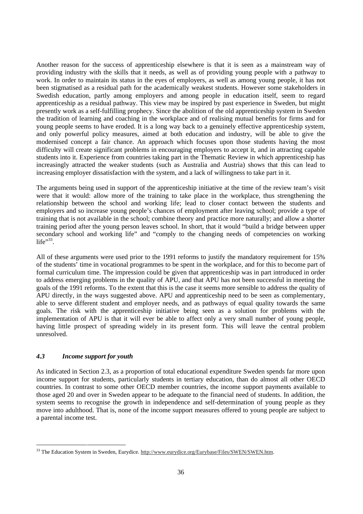Another reason for the success of apprenticeship elsewhere is that it is seen as a mainstream way of providing industry with the skills that it needs, as well as of providing young people with a pathway to work. In order to maintain its status in the eyes of employers, as well as among young people, it has not been stigmatised as a residual path for the academically weakest students. However some stakeholders in Swedish education, partly among employers and among people in education itself, seem to regard apprenticeship as a residual pathway. This view may be inspired by past experience in Sweden, but might presently work as a self-fulfilling prophecy. Since the abolition of the old apprenticeship system in Sweden the tradition of learning and coaching in the workplace and of realising mutual benefits for firms and for young people seems to have eroded. It is a long way back to a genuinely effective apprenticeship system, and only powerful policy measures, aimed at both education and industry, will be able to give the modernised concept a fair chance. An approach which focuses upon those students having the most difficulty will create significant problems in encouraging employers to accept it, and in attracting capable students into it. Experience from countries taking part in the Thematic Review in which apprenticeship has increasingly attracted the weaker students (such as Australia and Austria) shows that this can lead to increasing employer dissatisfaction with the system, and a lack of willingness to take part in it.

The arguments being used in support of the apprenticeship initiative at the time of the review team's visit were that it would: allow more of the training to take place in the workplace, thus strengthening the relationship between the school and working life; lead to closer contact between the students and employers and so increase young people's chances of employment after leaving school; provide a type of training that is not available in the school; combine theory and practice more naturally; and allow a shorter training period after the young person leaves school. In short, that it would "build a bridge between upper secondary school and working life" and "comply to the changing needs of competencies on working  $life$ <sup>33</sup>.

All of these arguments were used prior to the 1991 reforms to justify the mandatory requirement for 15% of the students' time in vocational programmes to be spent in the workplace, and for this to become part of formal curriculum time. The impression could be given that apprenticeship was in part introduced in order to address emerging problems in the quality of APU, and that APU has not been successful in meeting the goals of the 1991 reforms. To the extent that this is the case it seems more sensible to address the quality of APU directly, in the ways suggested above. APU and apprenticeship need to be seen as complementary, able to serve different student and employer needs, and as pathways of equal quality towards the same goals. The risk with the apprenticeship initiative being seen as a solution for problems with the implementation of APU is that it will ever be able to affect only a very small number of young people, having little prospect of spreading widely in its present form. This will leave the central problem unresolved.

## *4.3 Income support for youth*

As indicated in Section 2.3, as a proportion of total educational expenditure Sweden spends far more upon income support for students, particularly students in tertiary education, than do almost all other OECD countries. In contrast to some other OECD member countries, the income support payments available to those aged 20 and over in Sweden appear to be adequate to the financial need of students. In addition, the system seems to recognise the growth in independence and self-determination of young people as they move into adulthood. That is, none of the income support measures offered to young people are subject to a parental income test.

<sup>&</sup>lt;sup>33</sup> The Education System in Sweden, Eurydice. http://www.eurydice.org/Eurybase/Files/SWEN/SWEN.htm.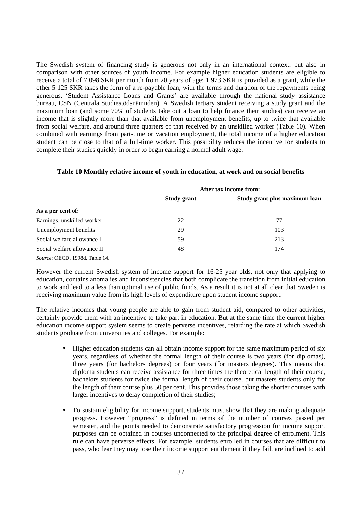The Swedish system of financing study is generous not only in an international context, but also in comparison with other sources of youth income. For example higher education students are eligible to receive a total of 7 098 SKR per month from 20 years of age; 1 973 SKR is provided as a grant, while the other 5 125 SKR takes the form of a re-payable loan, with the terms and duration of the repayments being generous. 'Student Assistance Loans and Grants' are available through the national study assistance bureau, CSN (Centrala Studiestödsnämnden). A Swedish tertiary student receiving a study grant and the maximum loan (and some 70% of students take out a loan to help finance their studies) can receive an income that is slightly more than that available from unemployment benefits, up to twice that available from social welfare, and around three quarters of that received by an unskilled worker (Table 10). When combined with earnings from part-time or vacation employment, the total income of a higher education student can be close to that of a full-time worker. This possibility reduces the incentive for students to complete their studies quickly in order to begin earning a normal adult wage.

|                             | After tax income from: |                               |
|-----------------------------|------------------------|-------------------------------|
|                             | <b>Study grant</b>     | Study grant plus maximum loan |
| As a per cent of:           |                        |                               |
| Earnings, unskilled worker  | 22                     | 77                            |
| Unemployment benefits       | 29                     | 103                           |
| Social welfare allowance I  | 59                     | 213                           |
| Social welfare allowance II | 48                     | 174                           |

**Table 10 Monthly relative income of youth in education, at work and on social benefits**

*Source*: OECD, 1998d, Table 14.

However the current Swedish system of income support for 16-25 year olds, not only that applying to education, contains anomalies and inconsistencies that both complicate the transition from initial education to work and lead to a less than optimal use of public funds. As a result it is not at all clear that Sweden is receiving maximum value from its high levels of expenditure upon student income support.

The relative incomes that young people are able to gain from student aid, compared to other activities, certainly provide them with an incentive to take part in education. But at the same time the current higher education income support system seems to create perverse incentives, retarding the rate at which Swedish students graduate from universities and colleges. For example:

- Higher education students can all obtain income support for the same maximum period of six years, regardless of whether the formal length of their course is two years (for diplomas), three years (for bachelors degrees) or four years (for masters degrees). This means that diploma students can receive assistance for three times the theoretical length of their course, bachelors students for twice the formal length of their course, but masters students only for the length of their course plus 50 per cent. This provides those taking the shorter courses with larger incentives to delay completion of their studies;
- To sustain eligibility for income support, students must show that they are making adequate progress. However "progress" is defined in terms of the number of courses passed per semester, and the points needed to demonstrate satisfactory progression for income support purposes can be obtained in courses unconnected to the principal degree of enrolment. This rule can have perverse effects. For example, students enrolled in courses that are difficult to pass, who fear they may lose their income support entitlement if they fail, are inclined to add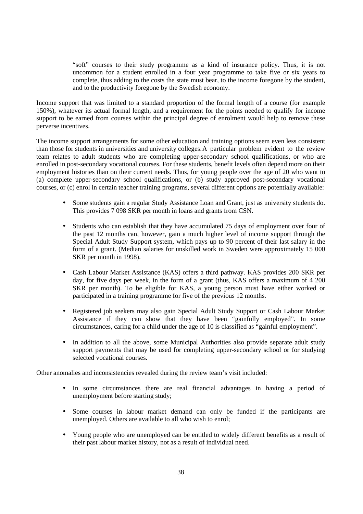"soft" courses to their study programme as a kind of insurance policy. Thus, it is not uncommon for a student enrolled in a four year programme to take five or six years to complete, thus adding to the costs the state must bear, to the income foregone by the student, and to the productivity foregone by the Swedish economy.

Income support that was limited to a standard proportion of the formal length of a course (for example 150%), whatever its actual formal length, and a requirement for the points needed to qualify for income support to be earned from courses within the principal degree of enrolment would help to remove these perverse incentives.

The income support arrangements for some other education and training options seem even less consistent than those for students in universities and university colleges.A particular problem evident to the review team relates to adult students who are completing upper-secondary school qualifications, or who are enrolled in post-secondary vocational courses. For these students, benefit levels often depend more on their employment histories than on their current needs. Thus, for young people over the age of 20 who want to (a) complete upper-secondary school qualifications, or (b) study approved post-secondary vocational courses, or (c) enrol in certain teacher training programs, several different options are potentially available:

- Some students gain a regular Study Assistance Loan and Grant, just as university students do. This provides 7 098 SKR per month in loans and grants from CSN.
- Students who can establish that they have accumulated 75 days of employment over four of the past 12 months can, however, gain a much higher level of income support through the Special Adult Study Support system, which pays up to 90 percent of their last salary in the form of a grant. (Median salaries for unskilled work in Sweden were approximately 15 000 SKR per month in 1998).
- Cash Labour Market Assistance (KAS) offers a third pathway. KAS provides 200 SKR per day, for five days per week, in the form of a grant (thus, KAS offers a maximum of 4 200 SKR per month). To be eligible for KAS, a young person must have either worked or participated in a training programme for five of the previous 12 months.
- Registered job seekers may also gain Special Adult Study Support or Cash Labour Market Assistance if they can show that they have been "gainfully employed". In some circumstances, caring for a child under the age of 10 is classified as "gainful employment".
- In addition to all the above, some Municipal Authorities also provide separate adult study support payments that may be used for completing upper-secondary school or for studying selected vocational courses.

Other anomalies and inconsistencies revealed during the review team's visit included:

- In some circumstances there are real financial advantages in having a period of unemployment before starting study;
- Some courses in labour market demand can only be funded if the participants are unemployed. Others are available to all who wish to enrol;
- Young people who are unemployed can be entitled to widely different benefits as a result of their past labour market history, not as a result of individual need.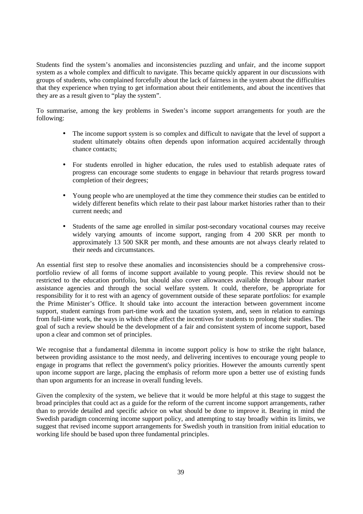Students find the system's anomalies and inconsistencies puzzling and unfair, and the income support system as a whole complex and difficult to navigate. This became quickly apparent in our discussions with groups of students, who complained forcefully about the lack of fairness in the system about the difficulties that they experience when trying to get information about their entitlements, and about the incentives that they are as a result given to "play the system".

To summarise, among the key problems in Sweden's income support arrangements for youth are the following:

- The income support system is so complex and difficult to navigate that the level of support a student ultimately obtains often depends upon information acquired accidentally through chance contacts;
- For students enrolled in higher education, the rules used to establish adequate rates of progress can encourage some students to engage in behaviour that retards progress toward completion of their degrees;
- Young people who are unemployed at the time they commence their studies can be entitled to widely different benefits which relate to their past labour market histories rather than to their current needs; and
- Students of the same age enrolled in similar post-secondary vocational courses may receive widely varying amounts of income support, ranging from 4 200 SKR per month to approximately 13 500 SKR per month, and these amounts are not always clearly related to their needs and circumstances.

An essential first step to resolve these anomalies and inconsistencies should be a comprehensive crossportfolio review of all forms of income support available to young people. This review should not be restricted to the education portfolio, but should also cover allowances available through labour market assistance agencies and through the social welfare system. It could, therefore, be appropriate for responsibility for it to rest with an agency of government outside of these separate portfolios: for example the Prime Minister's Office. It should take into account the interaction between government income support, student earnings from part-time work and the taxation system, and, seen in relation to earnings from full-time work, the ways in which these affect the incentives for students to prolong their studies. The goal of such a review should be the development of a fair and consistent system of income support, based upon a clear and common set of principles.

We recognise that a fundamental dilemma in income support policy is how to strike the right balance, between providing assistance to the most needy, and delivering incentives to encourage young people to engage in programs that reflect the government's policy priorities. However the amounts currently spent upon income support are large, placing the emphasis of reform more upon a better use of existing funds than upon arguments for an increase in overall funding levels.

Given the complexity of the system, we believe that it would be more helpful at this stage to suggest the broad principles that could act as a guide for the reform of the current income support arrangements, rather than to provide detailed and specific advice on what should be done to improve it. Bearing in mind the Swedish paradigm concerning income support policy, and attempting to stay broadly within its limits, we suggest that revised income support arrangements for Swedish youth in transition from initial education to working life should be based upon three fundamental principles.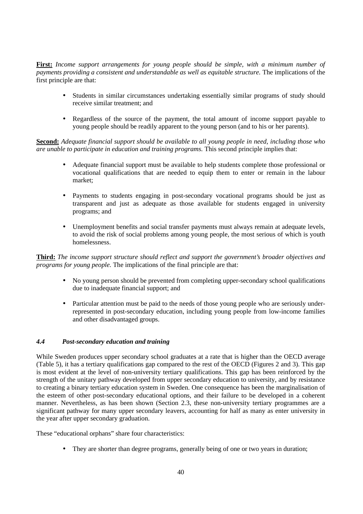**First:** *Income support arrangements for young people should be simple, with a minimum number of payments providing a consistent and understandable as well as equitable structure.* The implications of the first principle are that:

- Students in similar circumstances undertaking essentially similar programs of study should receive similar treatment; and
- Regardless of the source of the payment, the total amount of income support payable to young people should be readily apparent to the young person (and to his or her parents).

**Second:** *Adequate financial support should be available to all young people in need, including those who are unable to participate in education and training programs.* This second principle implies that:

- Adequate financial support must be available to help students complete those professional or vocational qualifications that are needed to equip them to enter or remain in the labour market;
- Payments to students engaging in post-secondary vocational programs should be just as transparent and just as adequate as those available for students engaged in university programs; and
- Unemployment benefits and social transfer payments must always remain at adequate levels, to avoid the risk of social problems among young people, the most serious of which is youth homelessness.

**Third:** *The income support structure should reflect and support the government's broader objectives and programs for young people.* The implications of the final principle are that:

- No young person should be prevented from completing upper-secondary school qualifications due to inadequate financial support; and
- Particular attention must be paid to the needs of those young people who are seriously underrepresented in post-secondary education, including young people from low-income families and other disadvantaged groups.

## *4.4 Post-secondary education and training*

While Sweden produces upper secondary school graduates at a rate that is higher than the OECD average (Table 5), it has a tertiary qualifications gap compared to the rest of the OECD (Figures 2 and 3). This gap is most evident at the level of non-university tertiary qualifications. This gap has been reinforced by the strength of the unitary pathway developed from upper secondary education to university, and by resistance to creating a binary tertiary education system in Sweden. One consequence has been the marginalisation of the esteem of other post-secondary educational options, and their failure to be developed in a coherent manner. Nevertheless, as has been shown (Section 2.3, these non-university tertiary programmes are a significant pathway for many upper secondary leavers, accounting for half as many as enter university in the year after upper secondary graduation.

These "educational orphans" share four characteristics:

• They are shorter than degree programs, generally being of one or two years in duration;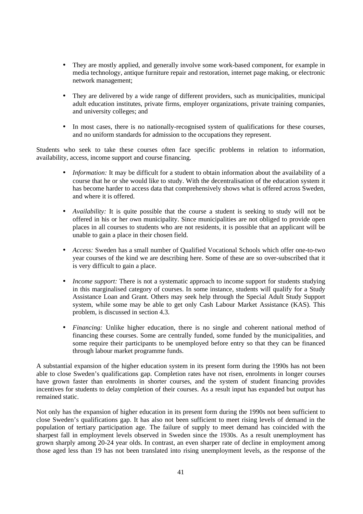- They are mostly applied, and generally involve some work-based component, for example in media technology, antique furniture repair and restoration, internet page making, or electronic network management;
- They are delivered by a wide range of different providers, such as municipalities, municipal adult education institutes, private firms, employer organizations, private training companies, and university colleges; and
- In most cases, there is no nationally-recognised system of qualifications for these courses, and no uniform standards for admission to the occupations they represent.

Students who seek to take these courses often face specific problems in relation to information, availability, access, income support and course financing.

- *Information:* It may be difficult for a student to obtain information about the availability of a course that he or she would like to study. With the decentralisation of the education system it has become harder to access data that comprehensively shows what is offered across Sweden, and where it is offered.
- *Availability:* It is quite possible that the course a student is seeking to study will not be offered in his or her own municipality. Since municipalities are not obliged to provide open places in all courses to students who are not residents, it is possible that an applicant will be unable to gain a place in their chosen field.
- *Access:* Sweden has a small number of Qualified Vocational Schools which offer one-to-two year courses of the kind we are describing here. Some of these are so over-subscribed that it is very difficult to gain a place.
- *Income support:* There is not a systematic approach to income support for students studying in this marginalised category of courses. In some instance, students will qualify for a Study Assistance Loan and Grant. Others may seek help through the Special Adult Study Support system, while some may be able to get only Cash Labour Market Assistance (KAS). This problem, is discussed in section 4.3.
- *Financing:* Unlike higher education, there is no single and coherent national method of financing these courses. Some are centrally funded, some funded by the municipalities, and some require their participants to be unemployed before entry so that they can be financed through labour market programme funds.

A substantial expansion of the higher education system in its present form during the 1990s has not been able to close Sweden's qualifications gap. Completion rates have not risen, enrolments in longer courses have grown faster than enrolments in shorter courses, and the system of student financing provides incentives for students to delay completion of their courses. As a result input has expanded but output has remained static.

Not only has the expansion of higher education in its present form during the 1990s not been sufficient to close Sweden's qualifications gap. It has also not been sufficient to meet rising levels of demand in the population of tertiary participation age. The failure of supply to meet demand has coincided with the sharpest fall in employment levels observed in Sweden since the 1930s. As a result unemployment has grown sharply among 20-24 year olds. In contrast, an even sharper rate of decline in employment among those aged less than 19 has not been translated into rising unemployment levels, as the response of the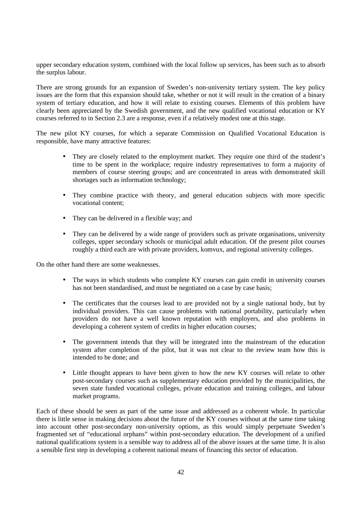upper secondary education system, combined with the local follow up services, has been such as to absorb the surplus labour.

There are strong grounds for an expansion of Sweden's non-university tertiary system. The key policy issues are the form that this expansion should take, whether or not it will result in the creation of a binary system of tertiary education, and how it will relate to existing courses. Elements of this problem have clearly been appreciated by the Swedish government, and the new qualified vocational education or KY courses referred to in Section 2.3 are a response, even if a relatively modest one at this stage.

The new pilot KY courses, for which a separate Commission on Qualified Vocational Education is responsible, have many attractive features:

- They are closely related to the employment market. They require one third of the student's time to be spent in the workplace; require industry representatives to form a majority of members of course steering groups; and are concentrated in areas with demonstrated skill shortages such as information technology;
- They combine practice with theory, and general education subjects with more specific vocational content;
- They can be delivered in a flexible way; and
- They can be delivered by a wide range of providers such as private organisations, university colleges, upper secondary schools or municipal adult education. Of the present pilot courses roughly a third each are with private providers, komvux, and regional university colleges.

On the other hand there are some weaknesses.

- The ways in which students who complete KY courses can gain credit in university courses has not been standardised, and must be negotiated on a case by case basis;
- The certificates that the courses lead to are provided not by a single national body, but by individual providers. This can cause problems with national portability, particularly when providers do not have a well known reputation with employers, and also problems in developing a coherent system of credits in higher education courses;
- The government intends that they will be integrated into the mainstream of the education system after completion of the pilot, but it was not clear to the review team how this is intended to be done; and
- Little thought appears to have been given to how the new KY courses will relate to other post-secondary courses such as supplementary education provided by the municipalities, the seven state funded vocational colleges, private education and training colleges, and labour market programs.

Each of these should be seen as part of the same issue and addressed as a coherent whole. In particular there is little sense in making decisions about the future of the KY courses without at the same time taking into account other post-secondary non-university options, as this would simply perpetuate Sweden's fragmented set of "educational orphans" within post-secondary education. The development of a unified national qualifications system is a sensible way to address all of the above issues at the same time. It is also a sensible first step in developing a coherent national means of financing this sector of education.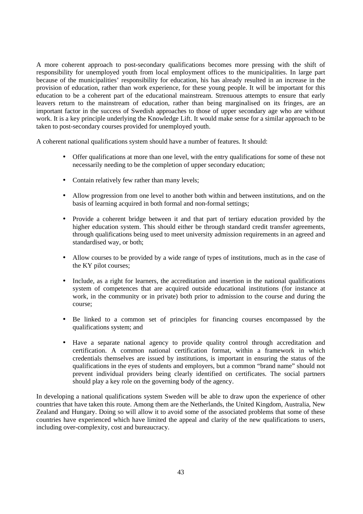A more coherent approach to post-secondary qualifications becomes more pressing with the shift of responsibility for unemployed youth from local employment offices to the municipalities. In large part because of the municipalities' responsibility for education, his has already resulted in an increase in the provision of education, rather than work experience, for these young people. It will be important for this education to be a coherent part of the educational mainstream. Strenuous attempts to ensure that early leavers return to the mainstream of education, rather than being marginalised on its fringes, are an important factor in the success of Swedish approaches to those of upper secondary age who are without work. It is a key principle underlying the Knowledge Lift. It would make sense for a similar approach to be taken to post-secondary courses provided for unemployed youth.

A coherent national qualifications system should have a number of features. It should:

- Offer qualifications at more than one level, with the entry qualifications for some of these not necessarily needing to be the completion of upper secondary education;
- Contain relatively few rather than many levels:
- Allow progression from one level to another both within and between institutions, and on the basis of learning acquired in both formal and non-formal settings;
- Provide a coherent bridge between it and that part of tertiary education provided by the higher education system. This should either be through standard credit transfer agreements, through qualifications being used to meet university admission requirements in an agreed and standardised way, or both;
- Allow courses to be provided by a wide range of types of institutions, much as in the case of the KY pilot courses;
- Include, as a right for learners, the accreditation and insertion in the national qualifications system of competences that are acquired outside educational institutions (for instance at work, in the community or in private) both prior to admission to the course and during the course;
- Be linked to a common set of principles for financing courses encompassed by the qualifications system; and
- Have a separate national agency to provide quality control through accreditation and certification. A common national certification format, within a framework in which credentials themselves are issued by institutions, is important in ensuring the status of the qualifications in the eyes of students and employers, but a common "brand name" should not prevent individual providers being clearly identified on certificates. The social partners should play a key role on the governing body of the agency.

In developing a national qualifications system Sweden will be able to draw upon the experience of other countries that have taken this route. Among them are the Netherlands, the United Kingdom, Australia, New Zealand and Hungary. Doing so will allow it to avoid some of the associated problems that some of these countries have experienced which have limited the appeal and clarity of the new qualifications to users, including over-complexity, cost and bureaucracy.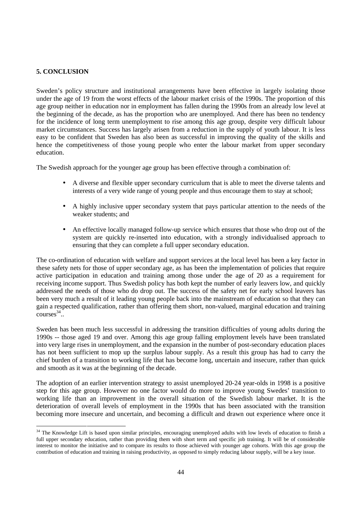## **5. CONCLUSION**

Sweden's policy structure and institutional arrangements have been effective in largely isolating those under the age of 19 from the worst effects of the labour market crisis of the 1990s. The proportion of this age group neither in education nor in employment has fallen during the 1990s from an already low level at the beginning of the decade, as has the proportion who are unemployed. And there has been no tendency for the incidence of long term unemployment to rise among this age group, despite very difficult labour market circumstances. Success has largely arisen from a reduction in the supply of youth labour. It is less easy to be confident that Sweden has also been as successful in improving the quality of the skills and hence the competitiveness of those young people who enter the labour market from upper secondary education.

The Swedish approach for the younger age group has been effective through a combination of:

- A diverse and flexible upper secondary curriculum that is able to meet the diverse talents and interests of a very wide range of young people and thus encourage them to stay at school;
- A highly inclusive upper secondary system that pays particular attention to the needs of the weaker students; and
- An effective locally managed follow-up service which ensures that those who drop out of the system are quickly re-inserted into education, with a strongly individualised approach to ensuring that they can complete a full upper secondary education.

The co-ordination of education with welfare and support services at the local level has been a key factor in these safety nets for those of upper secondary age, as has been the implementation of policies that require active participation in education and training among those under the age of 20 as a requirement for receiving income support. Thus Swedish policy has both kept the number of early leavers low, and quickly addressed the needs of those who do drop out. The success of the safety net for early school leavers has been very much a result of it leading young people back into the mainstream of education so that they can gain a respected qualification, rather than offering them short, non-valued, marginal education and training  $\text{converse}^{\,34}$ 

Sweden has been much less successful in addressing the transition difficulties of young adults during the 1990s -- those aged 19 and over. Among this age group falling employment levels have been translated into very large rises in unemployment, and the expansion in the number of post-secondary education places has not been sufficient to mop up the surplus labour supply. As a result this group has had to carry the chief burden of a transition to working life that has become long, uncertain and insecure, rather than quick and smooth as it was at the beginning of the decade.

The adoption of an earlier intervention strategy to assist unemployed 20-24 year-olds in 1998 is a positive step for this age group. However no one factor would do more to improve young Swedes' transition to working life than an improvement in the overall situation of the Swedish labour market. It is the deterioration of overall levels of employment in the 1990s that has been associated with the transition becoming more insecure and uncertain, and becoming a difficult and drawn out experience where once it

<sup>&</sup>lt;sup>34</sup> The Knowledge Lift is based upon similar principles, encouraging unemployed adults with low levels of education to finish a full upper secondary education, rather than providing them with short term and specific job training. It will be of considerable interest to monitor the initiative and to compare its results to those achieved with younger age cohorts. With this age group the contribution of education and training in raising productivity, as opposed to simply reducing labour supply, will be a key issue.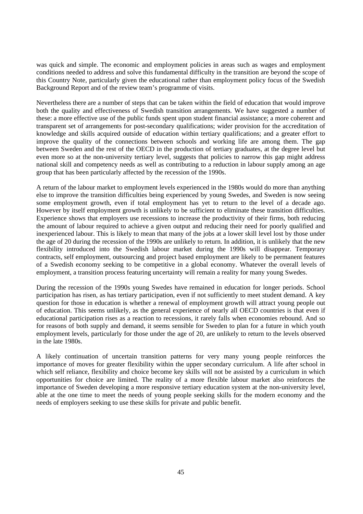was quick and simple. The economic and employment policies in areas such as wages and employment conditions needed to address and solve this fundamental difficulty in the transition are beyond the scope of this Country Note, particularly given the educational rather than employment policy focus of the Swedish Background Report and of the review team's programme of visits.

Nevertheless there are a number of steps that can be taken within the field of education that would improve both the quality and effectiveness of Swedish transition arrangements. We have suggested a number of these: a more effective use of the public funds spent upon student financial assistance; a more coherent and transparent set of arrangements for post-secondary qualifications; wider provision for the accreditation of knowledge and skills acquired outside of education within tertiary qualifications; and a greater effort to improve the quality of the connections between schools and working life are among them. The gap between Sweden and the rest of the OECD in the production of tertiary graduates, at the degree level but even more so at the non-university tertiary level, suggests that policies to narrow this gap might address national skill and competency needs as well as contributing to a reduction in labour supply among an age group that has been particularly affected by the recession of the 1990s.

A return of the labour market to employment levels experienced in the 1980s would do more than anything else to improve the transition difficulties being experienced by young Swedes, and Sweden is now seeing some employment growth, even if total employment has yet to return to the level of a decade ago. However by itself employment growth is unlikely to be sufficient to eliminate these transition difficulties. Experience shows that employers use recessions to increase the productivity of their firms, both reducing the amount of labour required to achieve a given output and reducing their need for poorly qualified and inexperienced labour. This is likely to mean that many of the jobs at a lower skill level lost by those under the age of 20 during the recession of the 1990s are unlikely to return. In addition, it is unlikely that the new flexibility introduced into the Swedish labour market during the 1990s will disappear. Temporary contracts, self employment, outsourcing and project based employment are likely to be permanent features of a Swedish economy seeking to be competitive in a global economy. Whatever the overall levels of employment, a transition process featuring uncertainty will remain a reality for many young Swedes.

During the recession of the 1990s young Swedes have remained in education for longer periods. School participation has risen, as has tertiary participation, even if not sufficiently to meet student demand. A key question for those in education is whether a renewal of employment growth will attract young people out of education. This seems unlikely, as the general experience of nearly all OECD countries is that even if educational participation rises as a reaction to recessions, it rarely falls when economies rebound. And so for reasons of both supply and demand, it seems sensible for Sweden to plan for a future in which youth employment levels, particularly for those under the age of 20, are unlikely to return to the levels observed in the late 1980s.

A likely continuation of uncertain transition patterns for very many young people reinforces the importance of moves for greater flexibility within the upper secondary curriculum. A life after school in which self reliance, flexibility and choice become key skills will not be assisted by a curriculum in which opportunities for choice are limited. The reality of a more flexible labour market also reinforces the importance of Sweden developing a more responsive tertiary education system at the non-university level, able at the one time to meet the needs of young people seeking skills for the modern economy and the needs of employers seeking to use these skills for private and public benefit.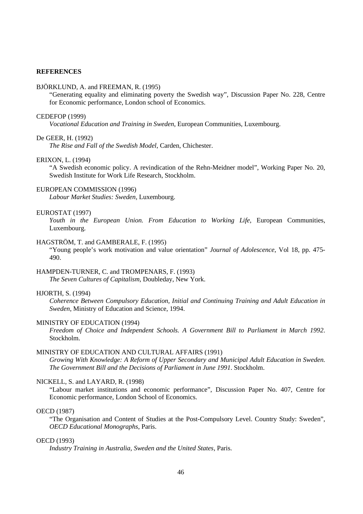## **REFERENCES**

#### BJÖRKLUND, A. and FREEMAN, R. (1995)

"Generating equality and eliminating poverty the Swedish way", Discussion Paper No. 228, Centre for Economic performance, London school of Economics.

#### CEDEFOP (1999)

*Vocational Education and Training in Sweden*, European Communities, Luxembourg.

## De GEER, H. (1992)

*The Rise and Fall of the Swedish Model*, Carden, Chichester.

#### ERIXON, L. (1994)

"A Swedish economic policy. A revindication of the Rehn-Meidner model", Working Paper No. 20, Swedish Institute for Work Life Research, Stockholm.

#### EUROPEAN COMMISSION (1996)

*Labour Market Studies: Sweden*, Luxembourg.

#### EUROSTAT (1997)

*Youth in the European Union. From Education to Working Life*, European Communities, Luxembourg.

#### HAGSTRÖM, T. and GAMBERALE, F. (1995)

"Young people's work motivation and value orientation" *Journal of Adolescence*, Vol 18, pp. 475- 490.

## HAMPDEN-TURNER, C. and TROMPENARS, F. (1993)

*The Seven Cultures of Capitalism*, Doubleday, New York.

## HJORTH, S. (1994)

*Coherence Between Compulsory Education, Initial and Continuing Training and Adult Education in Sweden*, Ministry of Education and Science, 1994.

#### MINISTRY OF EDUCATION (1994)

*Freedom of Choice and Independent Schools. A Government Bill to Parliament in March 1992*. Stockholm.

#### MINISTRY OF EDUCATION AND CULTURAL AFFAIRS (1991)

*Growing With Knowledge: A Reform of Upper Secondary and Municipal Adult Education in Sweden. The Government Bill and the Decisions of Parliament in June 1991*. Stockholm.

#### NICKELL, S. and LAYARD, R. (1998)

"Labour market institutions and economic performance", Discussion Paper No. 407, Centre for Economic performance, London School of Economics.

## OECD (1987)

"The Organisation and Content of Studies at the Post-Compulsory Level. Country Study: Sweden", *OECD Educational Monographs*, Paris.

#### OECD (1993)

*Industry Training in Australia, Sweden and the United States*, Paris.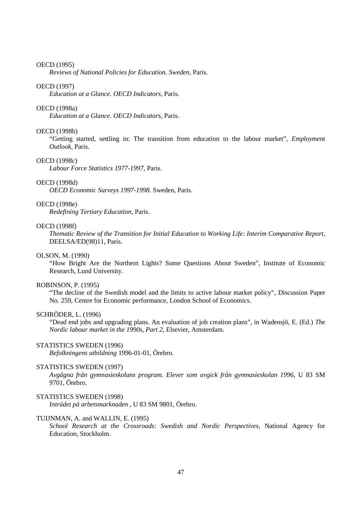#### OECD (1995)

*Reviews of National Policies for Education. Sweden*, Paris.

#### OECD (1997)

*Education at a Glance. OECD Indicators*, Paris.

#### OECD (1998a)

*Education at a Glance. OECD Indicators*, Paris.

#### OECD (1998b)

"Getting started, settling in: The transition from education to the labour market", *Employment Outlook*, Paris.

#### OECD (1998c)

*Labour Force Statistics 1977-1997*, Paris.

## OECD (1998d)

*OECD Economic Surveys 1997-1998*. Sweden, Paris.

#### OECD (1998e)

*Redefining Tertiary Education*, Paris.

#### OECD (1998f)

*Thematic Review of the Transition for Initial Education to Working Life: Interim Comparative Report*, DEELSA/ED(98)11, Paris.

#### OLSON, M. (1990)

"How Bright Are the Northern Lights? Some Questions About Sweden", Institute of Economic Research, Lund University.

#### ROBINSON, P. (1995)

"The decline of the Swedish model and the limits to active labour market policy", Discussion Paper No. 259, Centre for Economic performance, London School of Economics.

#### SCHRÖDER, L. (1996)

"Dead end jobs and upgrading plans. An evaluation of job creation plans", in Wadensjö, E. (Ed.) *The Nordic labour market in the 1990s, Part 2*, Elsevier, Amsterdam.

## STATISTICS SWEDEN (1996)

*Befolkningens utbildning* 1996-01-01, Örebro.

## STATISTICS SWEDEN (1997)

*Avgågna från gymnasieskolans program. Elever som avgick från gymnasieskolan 1996*, U 83 SM 9701, Örebro.

#### STATISTICS SWEDEN (1998)

*Inträdet på arbetsmarknaden* , U 83 SM 9801, Örebro.

#### TUIJNMAN, A. and WALLIN, E. (1995)

*School Research at the Crossroads: Swedish and Nordic Perspectives*, National Agency for Education, Stockholm.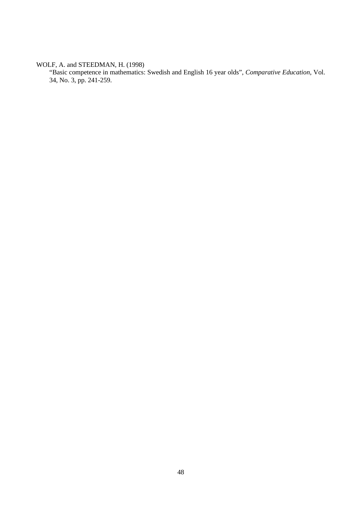WOLF, A. and STEEDMAN, H. (1998)

"Basic competence in mathematics: Swedish and English 16 year olds", *Comparative Education*, Vol. 34, No. 3, pp. 241-259.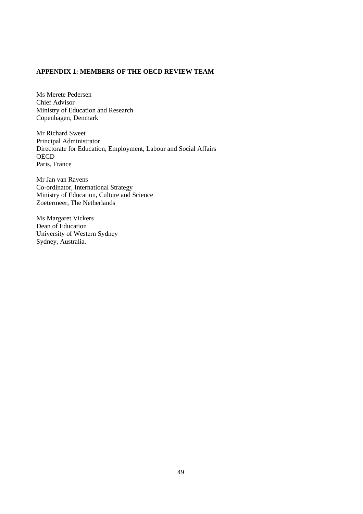## **APPENDIX 1: MEMBERS OF THE OECD REVIEW TEAM**

Ms Merete Pedersen Chief Advisor Ministry of Education and Research Copenhagen, Denmark

Mr Richard Sweet Principal Administrator Directorate for Education, Employment, Labour and Social Affairs **OECD** Paris, France

Mr Jan van Ravens Co-ordinator, International Strategy Ministry of Education, Culture and Science Zoetermeer, The Netherlands

Ms Margaret Vickers Dean of Education University of Western Sydney Sydney, Australia.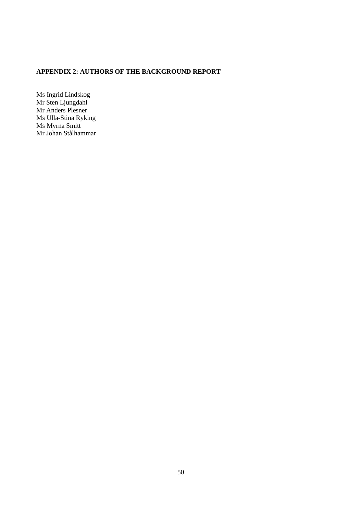# **APPENDIX 2: AUTHORS OF THE BACKGROUND REPORT**

Ms Ingrid Lindskog Mr Sten Ljungdahl Mr Anders Plesner Ms Ulla-Stina Ryking Ms Myrna Smitt Mr Johan Stålhammar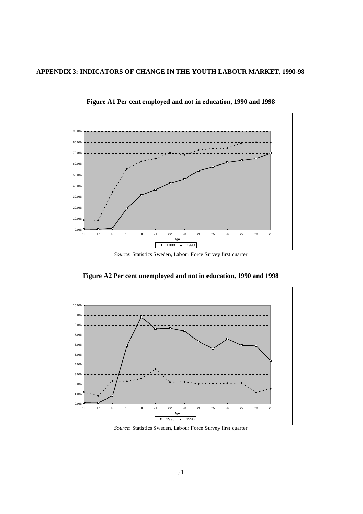# **APPENDIX 3: INDICATORS OF CHANGE IN THE YOUTH LABOUR MARKET, 1990-98**



**Figure A1 Per cent employed and not in education, 1990 and 1998**

*Source*: Statistics Sweden, Labour Force Survey first quarter



**Figure A2 Per cent unemployed and not in education, 1990 and 1998**

*Source*: Statistics Sweden, Labour Force Survey first quarter